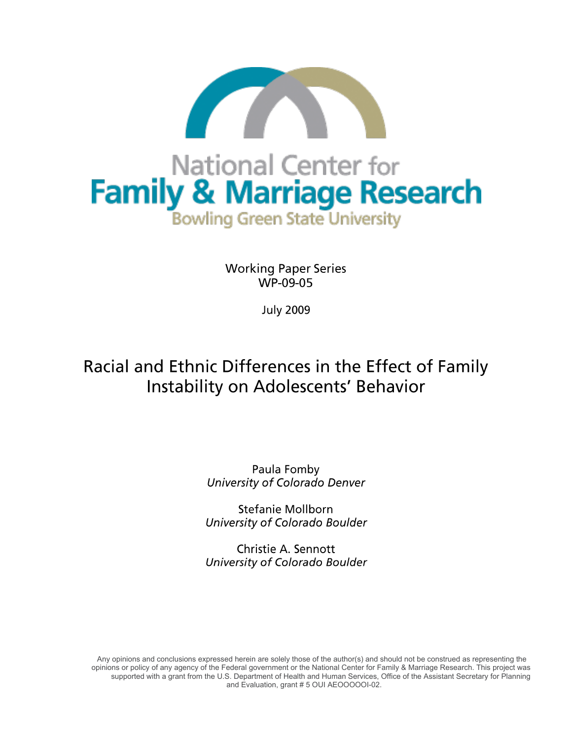

**Working Paper Series** WP-09-05

**July 2009** 

# Racial and Ethnic Differences in the Effect of Family Instability on Adolescents' Behavior

Paula Fomby University of Colorado Denver

**Stefanie Mollborn** University of Colorado Boulder

Christie A. Sennott University of Colorado Boulder

 Any opinions and conclusions expressed herein are solely those of the author(s) and should not be construed as representing the opinions or policy of any agency of the Federal government or the National Center for Family & Marriage Research. This project was supported with a grant from the U.S. Department of Health and Human Services, Office of the Assistant Secretary for Planning and Evaluation, grant # 5 OUI AEOOOOOI-02.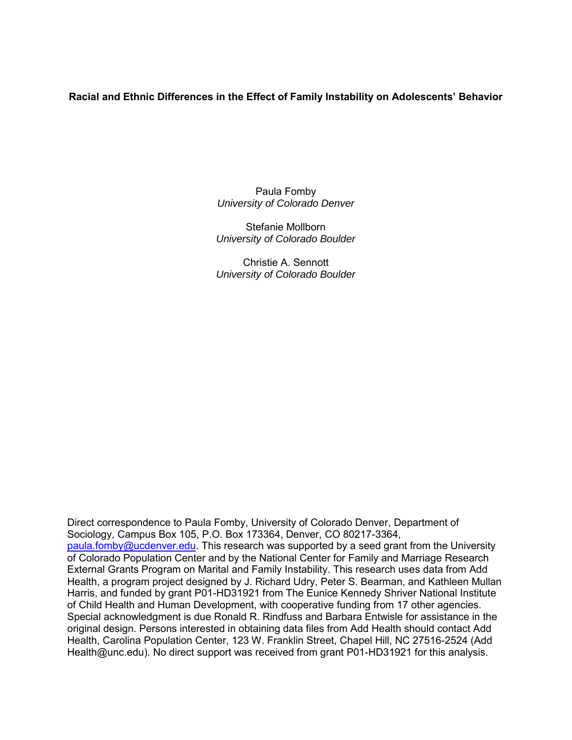# **Racial and Ethnic Differences in the Effect of Family Instability on Adolescents' Behavior**

Paula Fomby *University of Colorado Denver* 

Stefanie Mollborn *University of Colorado Boulder* 

Christie A. Sennott *University of Colorado Boulder*

Direct correspondence to Paula Fomby, University of Colorado Denver, Department of Sociology, Campus Box 105, P.O. Box 173364, Denver, CO 80217-3364, [paula.fomby@ucdenver.edu.](mailto:paula.fomby@ucdenver.edu) This research was supported by a seed grant from the University of Colorado Population Center and by the National Center for Family and Marriage Research External Grants Program on Marital and Family Instability. This research uses data from Add Health, a program project designed by J. Richard Udry, Peter S. Bearman, and Kathleen Mullan Harris, and funded by grant P01-HD31921 from The Eunice Kennedy Shriver National Institute of Child Health and Human Development, with cooperative funding from 17 other agencies. Special acknowledgment is due Ronald R. Rindfuss and Barbara Entwisle for assistance in the original design. Persons interested in obtaining data files from Add Health should contact Add Health, Carolina Population Center, 123 W. Franklin Street, Chapel Hill, NC 27516-2524 (Add Health@unc.edu). No direct support was received from grant P01-HD31921 for this analysis.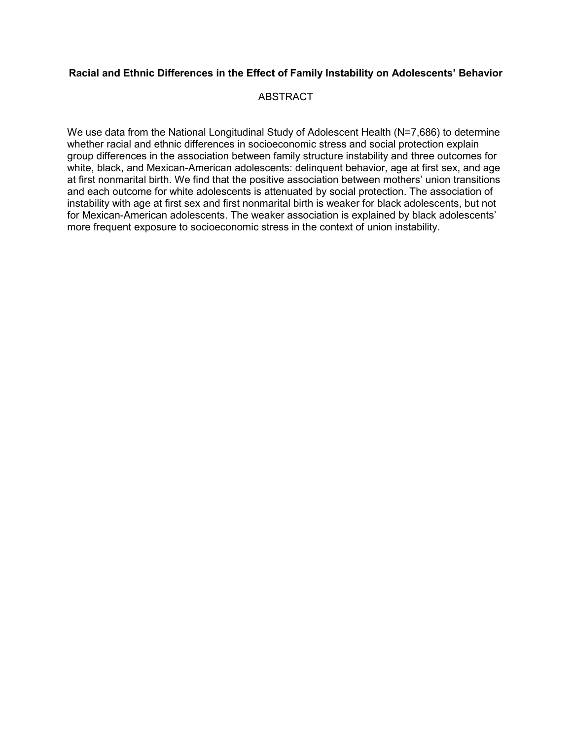# **Racial and Ethnic Differences in the Effect of Family Instability on Adolescents' Behavior**

# **ABSTRACT**

We use data from the National Longitudinal Study of Adolescent Health (N=7,686) to determine whether racial and ethnic differences in socioeconomic stress and social protection explain group differences in the association between family structure instability and three outcomes for white, black, and Mexican-American adolescents: delinquent behavior, age at first sex, and age at first nonmarital birth. We find that the positive association between mothers' union transitions and each outcome for white adolescents is attenuated by social protection. The association of instability with age at first sex and first nonmarital birth is weaker for black adolescents, but not for Mexican-American adolescents. The weaker association is explained by black adolescents' more frequent exposure to socioeconomic stress in the context of union instability.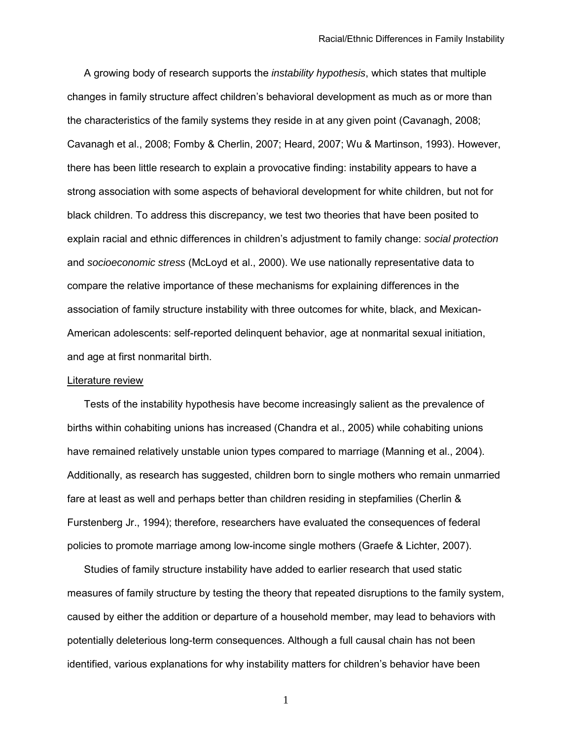A growing body of research supports the *instability hypothesis*, which states that multiple changes in family structure affect children's behavioral development as much as or more than the characteristics of the family systems they reside in at any given point (Cavanagh, 2008; Cavanagh et al., 2008; Fomby & Cherlin, 2007; Heard, 2007; Wu & Martinson, 1993). However, there has been little research to explain a provocative finding: instability appears to have a strong association with some aspects of behavioral development for white children, but not for black children. To address this discrepancy, we test two theories that have been posited to explain racial and ethnic differences in children's adjustment to family change: *social protection* and *socioeconomic stress* (McLoyd et al., 2000). We use nationally representative data to compare the relative importance of these mechanisms for explaining differences in the association of family structure instability with three outcomes for white, black, and Mexican-American adolescents: self-reported delinquent behavior, age at nonmarital sexual initiation, and age at first nonmarital birth.

## Literature review

 Tests of the instability hypothesis have become increasingly salient as the prevalence of births within cohabiting unions has increased (Chandra et al., 2005) while cohabiting unions have remained relatively unstable union types compared to marriage (Manning et al., 2004). Additionally, as research has suggested, children born to single mothers who remain unmarried fare at least as well and perhaps better than children residing in stepfamilies (Cherlin & Furstenberg Jr., 1994); therefore, researchers have evaluated the consequences of federal policies to promote marriage among low-income single mothers (Graefe & Lichter, 2007).

 Studies of family structure instability have added to earlier research that used static measures of family structure by testing the theory that repeated disruptions to the family system, caused by either the addition or departure of a household member, may lead to behaviors with potentially deleterious long-term consequences. Although a full causal chain has not been identified, various explanations for why instability matters for children's behavior have been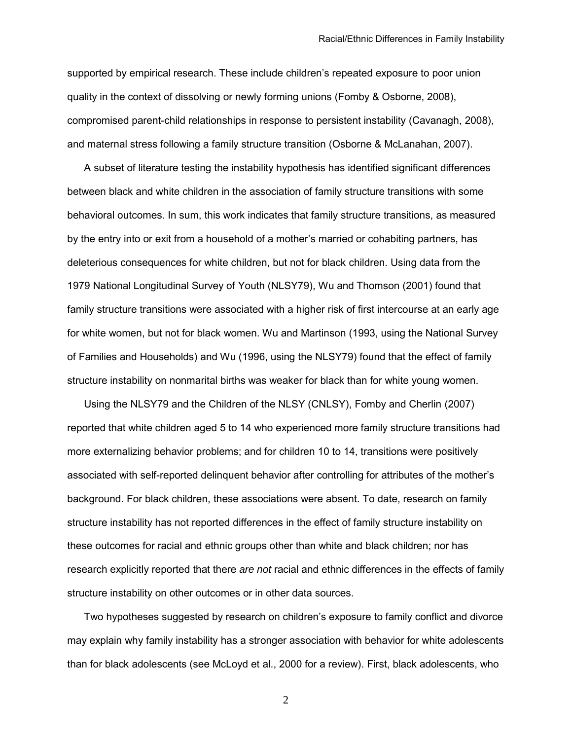supported by empirical research. These include children's repeated exposure to poor union quality in the context of dissolving or newly forming unions (Fomby & Osborne, 2008), compromised parent-child relationships in response to persistent instability (Cavanagh, 2008), and maternal stress following a family structure transition (Osborne & McLanahan, 2007).

 A subset of literature testing the instability hypothesis has identified significant differences between black and white children in the association of family structure transitions with some behavioral outcomes. In sum, this work indicates that family structure transitions, as measured by the entry into or exit from a household of a mother's married or cohabiting partners, has deleterious consequences for white children, but not for black children. Using data from the 1979 National Longitudinal Survey of Youth (NLSY79), Wu and Thomson (2001) found that family structure transitions were associated with a higher risk of first intercourse at an early age for white women, but not for black women. Wu and Martinson (1993, using the National Survey of Families and Households) and Wu (1996, using the NLSY79) found that the effect of family structure instability on nonmarital births was weaker for black than for white young women.

 Using the NLSY79 and the Children of the NLSY (CNLSY), Fomby and Cherlin (2007) reported that white children aged 5 to 14 who experienced more family structure transitions had more externalizing behavior problems; and for children 10 to 14, transitions were positively associated with self-reported delinquent behavior after controlling for attributes of the mother's background. For black children, these associations were absent. To date, research on family structure instability has not reported differences in the effect of family structure instability on these outcomes for racial and ethnic groups other than white and black children; nor has research explicitly reported that there *are not* racial and ethnic differences in the effects of family structure instability on other outcomes or in other data sources.

 Two hypotheses suggested by research on children's exposure to family conflict and divorce may explain why family instability has a stronger association with behavior for white adolescents than for black adolescents (see McLoyd et al., 2000 for a review). First, black adolescents, who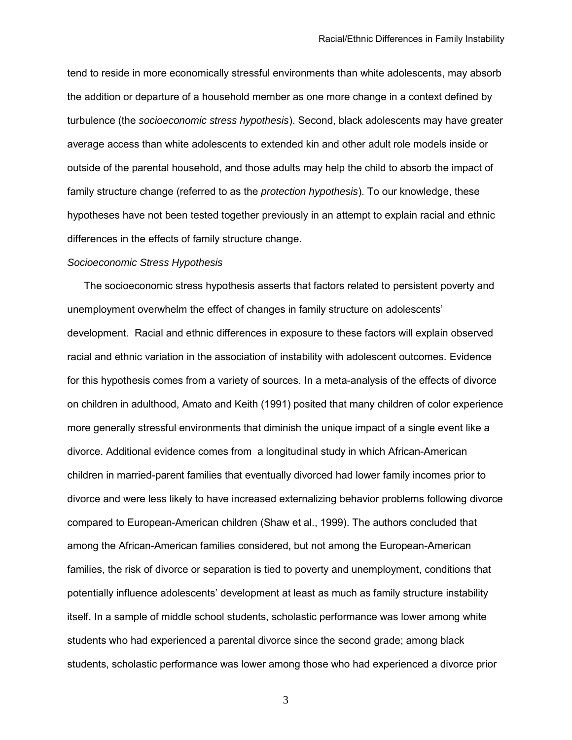tend to reside in more economically stressful environments than white adolescents, may absorb the addition or departure of a household member as one more change in a context defined by turbulence (the *socioeconomic stress hypothesis*). Second, black adolescents may have greater average access than white adolescents to extended kin and other adult role models inside or outside of the parental household, and those adults may help the child to absorb the impact of family structure change (referred to as the *protection hypothesis*). To our knowledge, these hypotheses have not been tested together previously in an attempt to explain racial and ethnic differences in the effects of family structure change.

# *Socioeconomic Stress Hypothesis*

 The socioeconomic stress hypothesis asserts that factors related to persistent poverty and unemployment overwhelm the effect of changes in family structure on adolescents' development. Racial and ethnic differences in exposure to these factors will explain observed racial and ethnic variation in the association of instability with adolescent outcomes. Evidence for this hypothesis comes from a variety of sources. In a meta-analysis of the effects of divorce on children in adulthood, Amato and Keith (1991) posited that many children of color experience more generally stressful environments that diminish the unique impact of a single event like a divorce. Additional evidence comes from a longitudinal study in which African-American children in married-parent families that eventually divorced had lower family incomes prior to divorce and were less likely to have increased externalizing behavior problems following divorce compared to European-American children (Shaw et al., 1999). The authors concluded that among the African-American families considered, but not among the European-American families, the risk of divorce or separation is tied to poverty and unemployment, conditions that potentially influence adolescents' development at least as much as family structure instability itself. In a sample of middle school students, scholastic performance was lower among white students who had experienced a parental divorce since the second grade; among black students, scholastic performance was lower among those who had experienced a divorce prior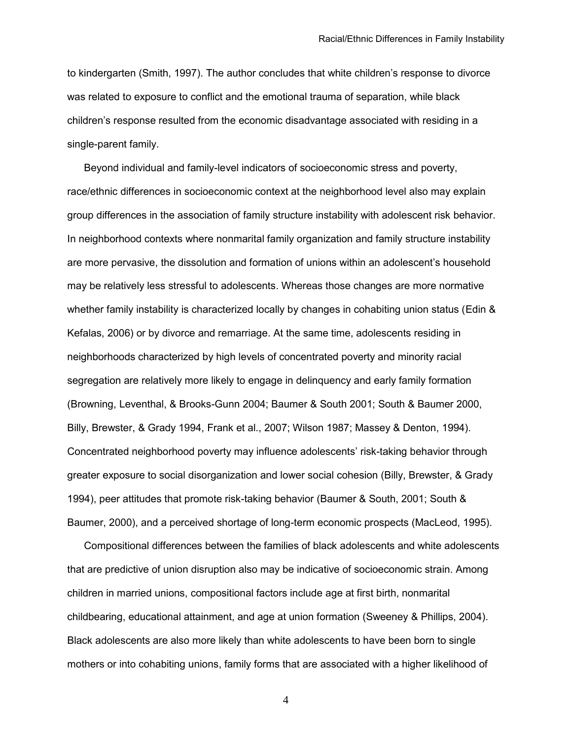to kindergarten (Smith, 1997). The author concludes that white children's response to divorce was related to exposure to conflict and the emotional trauma of separation, while black children's response resulted from the economic disadvantage associated with residing in a single-parent family.

 Beyond individual and family-level indicators of socioeconomic stress and poverty, race/ethnic differences in socioeconomic context at the neighborhood level also may explain group differences in the association of family structure instability with adolescent risk behavior. In neighborhood contexts where nonmarital family organization and family structure instability are more pervasive, the dissolution and formation of unions within an adolescent's household may be relatively less stressful to adolescents. Whereas those changes are more normative whether family instability is characterized locally by changes in cohabiting union status (Edin & Kefalas, 2006) or by divorce and remarriage. At the same time, adolescents residing in neighborhoods characterized by high levels of concentrated poverty and minority racial segregation are relatively more likely to engage in delinquency and early family formation (Browning, Leventhal, & Brooks-Gunn 2004; Baumer & South 2001; South & Baumer 2000, Billy, Brewster, & Grady 1994, Frank et al., 2007; Wilson 1987; Massey & Denton, 1994). Concentrated neighborhood poverty may influence adolescents' risk-taking behavior through greater exposure to social disorganization and lower social cohesion (Billy, Brewster, & Grady 1994), peer attitudes that promote risk-taking behavior (Baumer & South, 2001; South & Baumer, 2000), and a perceived shortage of long-term economic prospects (MacLeod, 1995).

 Compositional differences between the families of black adolescents and white adolescents that are predictive of union disruption also may be indicative of socioeconomic strain. Among children in married unions, compositional factors include age at first birth, nonmarital childbearing, educational attainment, and age at union formation (Sweeney & Phillips, 2004). Black adolescents are also more likely than white adolescents to have been born to single mothers or into cohabiting unions, family forms that are associated with a higher likelihood of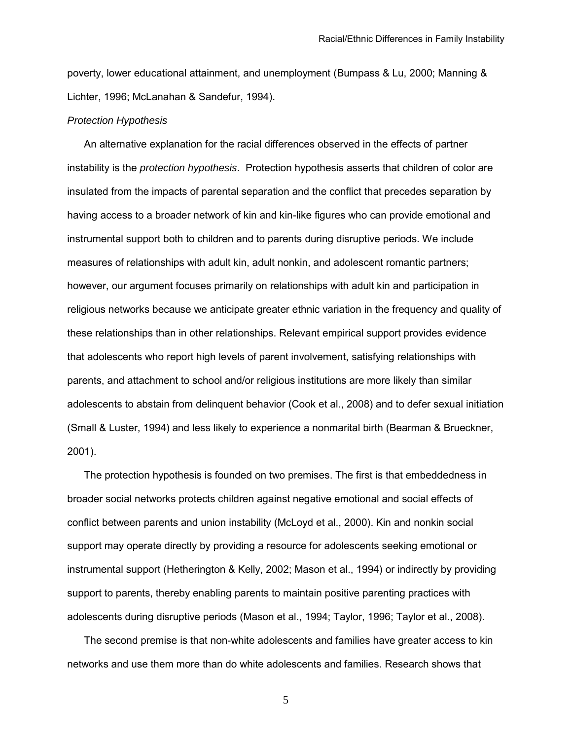poverty, lower educational attainment, and unemployment (Bumpass & Lu, 2000; Manning & Lichter, 1996; McLanahan & Sandefur, 1994).

#### *Protection Hypothesis*

 An alternative explanation for the racial differences observed in the effects of partner instability is the *protection hypothesis*. Protection hypothesis asserts that children of color are insulated from the impacts of parental separation and the conflict that precedes separation by having access to a broader network of kin and kin-like figures who can provide emotional and instrumental support both to children and to parents during disruptive periods. We include measures of relationships with adult kin, adult nonkin, and adolescent romantic partners; however, our argument focuses primarily on relationships with adult kin and participation in religious networks because we anticipate greater ethnic variation in the frequency and quality of these relationships than in other relationships. Relevant empirical support provides evidence that adolescents who report high levels of parent involvement, satisfying relationships with parents, and attachment to school and/or religious institutions are more likely than similar adolescents to abstain from delinquent behavior (Cook et al., 2008) and to defer sexual initiation (Small & Luster, 1994) and less likely to experience a nonmarital birth (Bearman & Brueckner, 2001).

 The protection hypothesis is founded on two premises. The first is that embeddedness in broader social networks protects children against negative emotional and social effects of conflict between parents and union instability (McLoyd et al., 2000). Kin and nonkin social support may operate directly by providing a resource for adolescents seeking emotional or instrumental support (Hetherington & Kelly, 2002; Mason et al., 1994) or indirectly by providing support to parents, thereby enabling parents to maintain positive parenting practices with adolescents during disruptive periods (Mason et al., 1994; Taylor, 1996; Taylor et al., 2008).

 The second premise is that non-white adolescents and families have greater access to kin networks and use them more than do white adolescents and families. Research shows that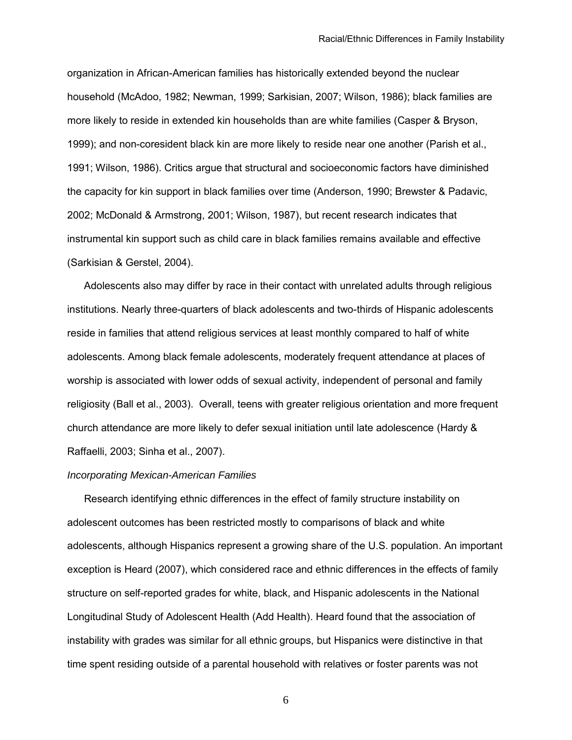organization in African-American families has historically extended beyond the nuclear household (McAdoo, 1982; Newman, 1999; Sarkisian, 2007; Wilson, 1986); black families are more likely to reside in extended kin households than are white families (Casper & Bryson, 1999); and non-coresident black kin are more likely to reside near one another (Parish et al., 1991; Wilson, 1986). Critics argue that structural and socioeconomic factors have diminished the capacity for kin support in black families over time (Anderson, 1990; Brewster & Padavic, 2002; McDonald & Armstrong, 2001; Wilson, 1987), but recent research indicates that instrumental kin support such as child care in black families remains available and effective (Sarkisian & Gerstel, 2004).

 Adolescents also may differ by race in their contact with unrelated adults through religious institutions. Nearly three-quarters of black adolescents and two-thirds of Hispanic adolescents reside in families that attend religious services at least monthly compared to half of white adolescents. Among black female adolescents, moderately frequent attendance at places of worship is associated with lower odds of sexual activity, independent of personal and family religiosity (Ball et al., 2003). Overall, teens with greater religious orientation and more frequent church attendance are more likely to defer sexual initiation until late adolescence (Hardy & Raffaelli, 2003; Sinha et al., 2007).

## *Incorporating Mexican-American Families*

Research identifying ethnic differences in the effect of family structure instability on adolescent outcomes has been restricted mostly to comparisons of black and white adolescents, although Hispanics represent a growing share of the U.S. population. An important exception is Heard (2007), which considered race and ethnic differences in the effects of family structure on self-reported grades for white, black, and Hispanic adolescents in the National Longitudinal Study of Adolescent Health (Add Health). Heard found that the association of instability with grades was similar for all ethnic groups, but Hispanics were distinctive in that time spent residing outside of a parental household with relatives or foster parents was not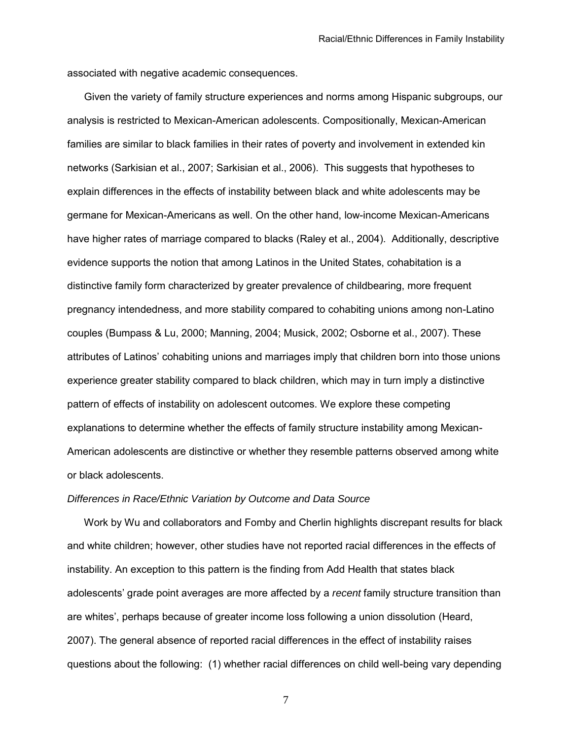associated with negative academic consequences.

Given the variety of family structure experiences and norms among Hispanic subgroups, our analysis is restricted to Mexican-American adolescents. Compositionally, Mexican-American families are similar to black families in their rates of poverty and involvement in extended kin networks (Sarkisian et al., 2007; Sarkisian et al., 2006). This suggests that hypotheses to explain differences in the effects of instability between black and white adolescents may be germane for Mexican-Americans as well. On the other hand, low-income Mexican-Americans have higher rates of marriage compared to blacks (Raley et al., 2004). Additionally, descriptive evidence supports the notion that among Latinos in the United States, cohabitation is a distinctive family form characterized by greater prevalence of childbearing, more frequent pregnancy intendedness, and more stability compared to cohabiting unions among non-Latino couples (Bumpass & Lu, 2000; Manning, 2004; Musick, 2002; Osborne et al., 2007). These attributes of Latinos' cohabiting unions and marriages imply that children born into those unions experience greater stability compared to black children, which may in turn imply a distinctive pattern of effects of instability on adolescent outcomes. We explore these competing explanations to determine whether the effects of family structure instability among Mexican-American adolescents are distinctive or whether they resemble patterns observed among white or black adolescents.

## *Differences in Race/Ethnic Variation by Outcome and Data Source*

 Work by Wu and collaborators and Fomby and Cherlin highlights discrepant results for black and white children; however, other studies have not reported racial differences in the effects of instability. An exception to this pattern is the finding from Add Health that states black adolescents' grade point averages are more affected by a *recent* family structure transition than are whites', perhaps because of greater income loss following a union dissolution (Heard, 2007). The general absence of reported racial differences in the effect of instability raises questions about the following: (1) whether racial differences on child well-being vary depending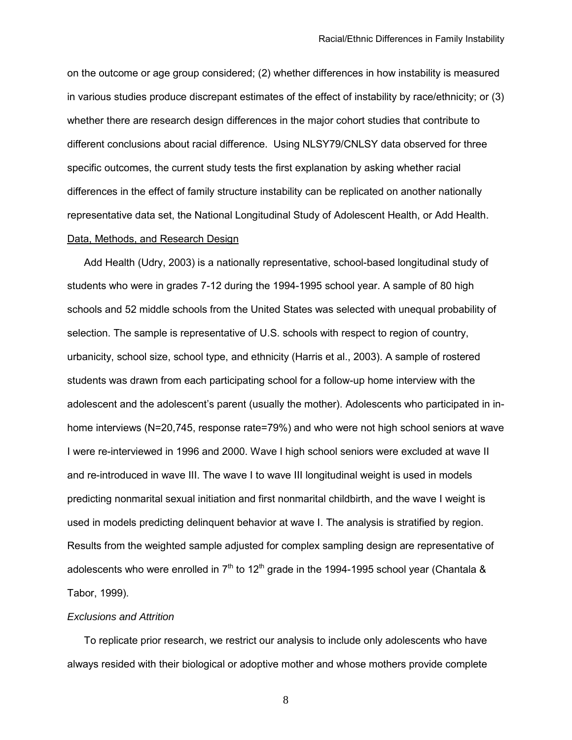on the outcome or age group considered; (2) whether differences in how instability is measured in various studies produce discrepant estimates of the effect of instability by race/ethnicity; or (3) whether there are research design differences in the major cohort studies that contribute to different conclusions about racial difference. Using NLSY79/CNLSY data observed for three specific outcomes, the current study tests the first explanation by asking whether racial differences in the effect of family structure instability can be replicated on another nationally representative data set, the National Longitudinal Study of Adolescent Health, or Add Health. Data, Methods, and Research Design

 Add Health (Udry, 2003) is a nationally representative, school-based longitudinal study of students who were in grades 7-12 during the 1994-1995 school year. A sample of 80 high schools and 52 middle schools from the United States was selected with unequal probability of selection. The sample is representative of U.S. schools with respect to region of country, urbanicity, school size, school type, and ethnicity (Harris et al., 2003). A sample of rostered students was drawn from each participating school for a follow-up home interview with the adolescent and the adolescent's parent (usually the mother). Adolescents who participated in inhome interviews (N=20,745, response rate=79%) and who were not high school seniors at wave I were re-interviewed in 1996 and 2000. Wave I high school seniors were excluded at wave II and re-introduced in wave III. The wave I to wave III longitudinal weight is used in models predicting nonmarital sexual initiation and first nonmarital childbirth, and the wave I weight is used in models predicting delinquent behavior at wave I. The analysis is stratified by region. Results from the weighted sample adjusted for complex sampling design are representative of adolescents who were enrolled in  $7<sup>th</sup>$  to 12<sup>th</sup> grade in the 1994-1995 school year (Chantala & Tabor, 1999).

## *Exclusions and Attrition*

 To replicate prior research, we restrict our analysis to include only adolescents who have always resided with their biological or adoptive mother and whose mothers provide complete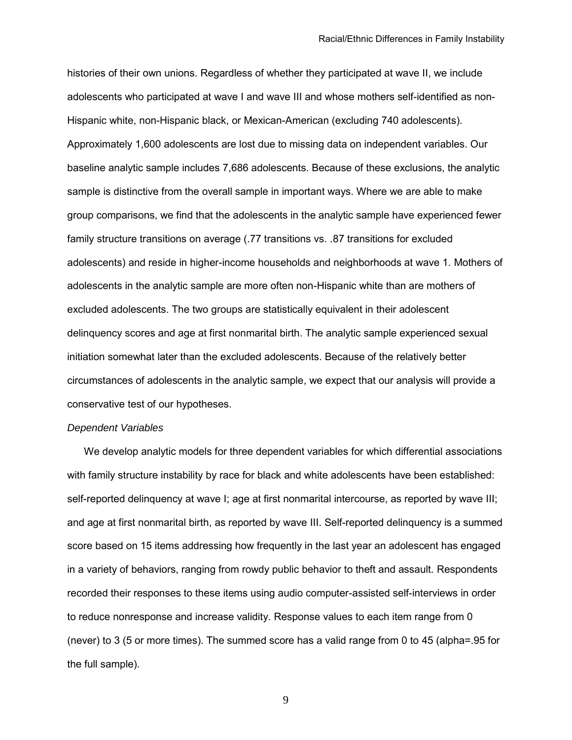histories of their own unions. Regardless of whether they participated at wave II, we include adolescents who participated at wave I and wave III and whose mothers self-identified as non-Hispanic white, non-Hispanic black, or Mexican-American (excluding 740 adolescents). Approximately 1,600 adolescents are lost due to missing data on independent variables. Our baseline analytic sample includes 7,686 adolescents. Because of these exclusions, the analytic sample is distinctive from the overall sample in important ways. Where we are able to make group comparisons, we find that the adolescents in the analytic sample have experienced fewer family structure transitions on average (.77 transitions vs. .87 transitions for excluded adolescents) and reside in higher-income households and neighborhoods at wave 1. Mothers of adolescents in the analytic sample are more often non-Hispanic white than are mothers of excluded adolescents. The two groups are statistically equivalent in their adolescent delinquency scores and age at first nonmarital birth. The analytic sample experienced sexual initiation somewhat later than the excluded adolescents. Because of the relatively better circumstances of adolescents in the analytic sample, we expect that our analysis will provide a conservative test of our hypotheses.

#### *Dependent Variables*

 We develop analytic models for three dependent variables for which differential associations with family structure instability by race for black and white adolescents have been established: self-reported delinquency at wave I; age at first nonmarital intercourse, as reported by wave III; and age at first nonmarital birth, as reported by wave III. Self-reported delinquency is a summed score based on 15 items addressing how frequently in the last year an adolescent has engaged in a variety of behaviors, ranging from rowdy public behavior to theft and assault. Respondents recorded their responses to these items using audio computer-assisted self-interviews in order to reduce nonresponse and increase validity. Response values to each item range from 0 (never) to 3 (5 or more times). The summed score has a valid range from 0 to 45 (alpha=.95 for the full sample).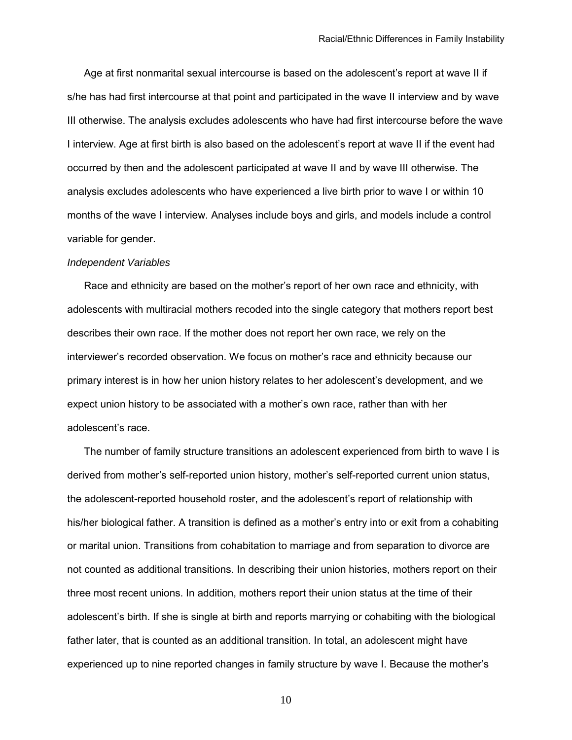Age at first nonmarital sexual intercourse is based on the adolescent's report at wave II if s/he has had first intercourse at that point and participated in the wave II interview and by wave III otherwise. The analysis excludes adolescents who have had first intercourse before the wave I interview. Age at first birth is also based on the adolescent's report at wave II if the event had occurred by then and the adolescent participated at wave II and by wave III otherwise. The analysis excludes adolescents who have experienced a live birth prior to wave I or within 10 months of the wave I interview. Analyses include boys and girls, and models include a control variable for gender.

#### *Independent Variables*

 Race and ethnicity are based on the mother's report of her own race and ethnicity, with adolescents with multiracial mothers recoded into the single category that mothers report best describes their own race. If the mother does not report her own race, we rely on the interviewer's recorded observation. We focus on mother's race and ethnicity because our primary interest is in how her union history relates to her adolescent's development, and we expect union history to be associated with a mother's own race, rather than with her adolescent's race.

 The number of family structure transitions an adolescent experienced from birth to wave I is derived from mother's self-reported union history, mother's self-reported current union status, the adolescent-reported household roster, and the adolescent's report of relationship with his/her biological father. A transition is defined as a mother's entry into or exit from a cohabiting or marital union. Transitions from cohabitation to marriage and from separation to divorce are not counted as additional transitions. In describing their union histories, mothers report on their three most recent unions. In addition, mothers report their union status at the time of their adolescent's birth. If she is single at birth and reports marrying or cohabiting with the biological father later, that is counted as an additional transition. In total, an adolescent might have experienced up to nine reported changes in family structure by wave I. Because the mother's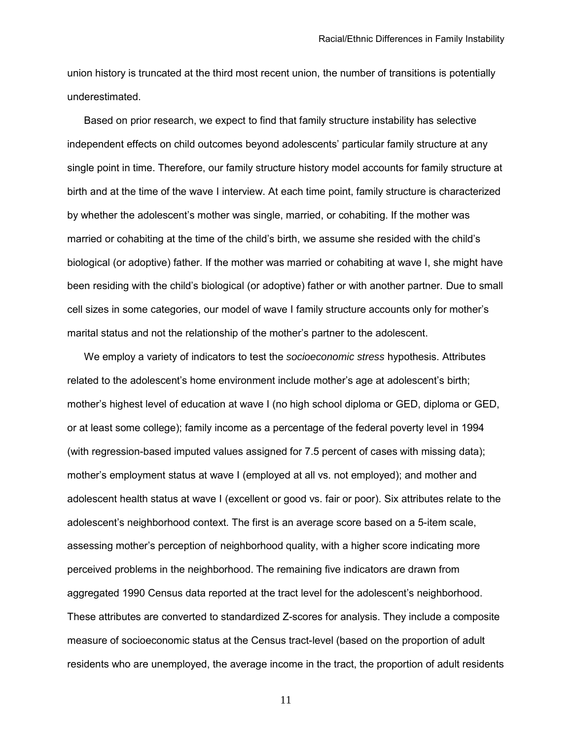union history is truncated at the third most recent union, the number of transitions is potentially underestimated.

 Based on prior research, we expect to find that family structure instability has selective independent effects on child outcomes beyond adolescents' particular family structure at any single point in time. Therefore, our family structure history model accounts for family structure at birth and at the time of the wave I interview. At each time point, family structure is characterized by whether the adolescent's mother was single, married, or cohabiting. If the mother was married or cohabiting at the time of the child's birth, we assume she resided with the child's biological (or adoptive) father. If the mother was married or cohabiting at wave I, she might have been residing with the child's biological (or adoptive) father or with another partner. Due to small cell sizes in some categories, our model of wave I family structure accounts only for mother's marital status and not the relationship of the mother's partner to the adolescent.

 We employ a variety of indicators to test the *socioeconomic stress* hypothesis. Attributes related to the adolescent's home environment include mother's age at adolescent's birth; mother's highest level of education at wave I (no high school diploma or GED, diploma or GED, or at least some college); family income as a percentage of the federal poverty level in 1994 (with regression-based imputed values assigned for 7.5 percent of cases with missing data); mother's employment status at wave I (employed at all vs. not employed); and mother and adolescent health status at wave I (excellent or good vs. fair or poor). Six attributes relate to the adolescent's neighborhood context. The first is an average score based on a 5-item scale, assessing mother's perception of neighborhood quality, with a higher score indicating more perceived problems in the neighborhood. The remaining five indicators are drawn from aggregated 1990 Census data reported at the tract level for the adolescent's neighborhood. These attributes are converted to standardized Z-scores for analysis. They include a composite measure of socioeconomic status at the Census tract-level (based on the proportion of adult residents who are unemployed, the average income in the tract, the proportion of adult residents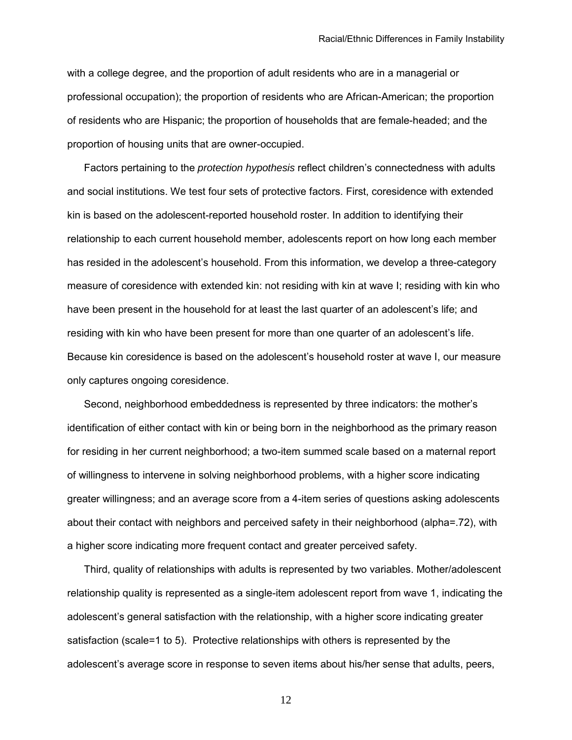with a college degree, and the proportion of adult residents who are in a managerial or professional occupation); the proportion of residents who are African-American; the proportion of residents who are Hispanic; the proportion of households that are female-headed; and the proportion of housing units that are owner-occupied.

 Factors pertaining to the *protection hypothesis* reflect children's connectedness with adults and social institutions. We test four sets of protective factors. First, coresidence with extended kin is based on the adolescent-reported household roster. In addition to identifying their relationship to each current household member, adolescents report on how long each member has resided in the adolescent's household. From this information, we develop a three-category measure of coresidence with extended kin: not residing with kin at wave I; residing with kin who have been present in the household for at least the last quarter of an adolescent's life; and residing with kin who have been present for more than one quarter of an adolescent's life. Because kin coresidence is based on the adolescent's household roster at wave I, our measure only captures ongoing coresidence.

 Second, neighborhood embeddedness is represented by three indicators: the mother's identification of either contact with kin or being born in the neighborhood as the primary reason for residing in her current neighborhood; a two-item summed scale based on a maternal report of willingness to intervene in solving neighborhood problems, with a higher score indicating greater willingness; and an average score from a 4-item series of questions asking adolescents about their contact with neighbors and perceived safety in their neighborhood (alpha=.72), with a higher score indicating more frequent contact and greater perceived safety.

 Third, quality of relationships with adults is represented by two variables. Mother/adolescent relationship quality is represented as a single-item adolescent report from wave 1, indicating the adolescent's general satisfaction with the relationship, with a higher score indicating greater satisfaction (scale=1 to 5). Protective relationships with others is represented by the adolescent's average score in response to seven items about his/her sense that adults, peers,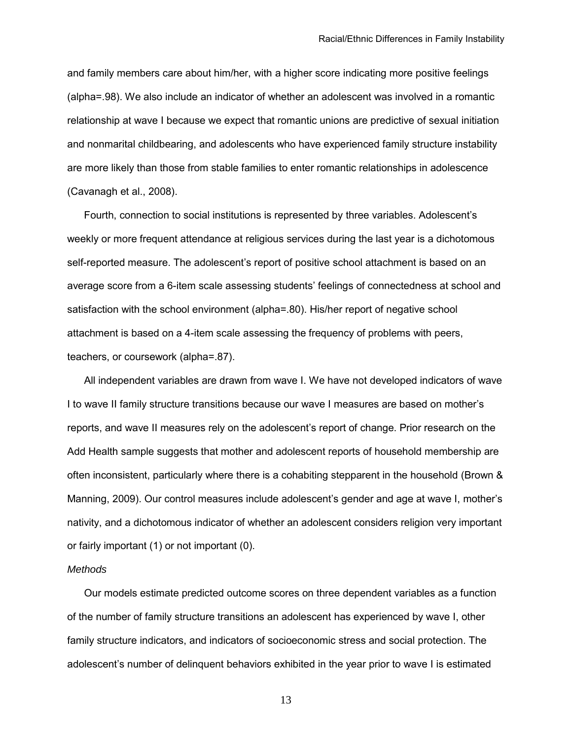and family members care about him/her, with a higher score indicating more positive feelings (alpha=.98). We also include an indicator of whether an adolescent was involved in a romantic relationship at wave I because we expect that romantic unions are predictive of sexual initiation and nonmarital childbearing, and adolescents who have experienced family structure instability are more likely than those from stable families to enter romantic relationships in adolescence (Cavanagh et al., 2008).

 Fourth, connection to social institutions is represented by three variables. Adolescent's weekly or more frequent attendance at religious services during the last year is a dichotomous self-reported measure. The adolescent's report of positive school attachment is based on an average score from a 6-item scale assessing students' feelings of connectedness at school and satisfaction with the school environment (alpha=.80). His/her report of negative school attachment is based on a 4-item scale assessing the frequency of problems with peers, teachers, or coursework (alpha=.87).

All independent variables are drawn from wave I. We have not developed indicators of wave I to wave II family structure transitions because our wave I measures are based on mother's reports, and wave II measures rely on the adolescent's report of change. Prior research on the Add Health sample suggests that mother and adolescent reports of household membership are often inconsistent, particularly where there is a cohabiting stepparent in the household (Brown & Manning, 2009). Our control measures include adolescent's gender and age at wave I, mother's nativity, and a dichotomous indicator of whether an adolescent considers religion very important or fairly important (1) or not important (0).

## *Methods*

Our models estimate predicted outcome scores on three dependent variables as a function of the number of family structure transitions an adolescent has experienced by wave I, other family structure indicators, and indicators of socioeconomic stress and social protection. The adolescent's number of delinquent behaviors exhibited in the year prior to wave I is estimated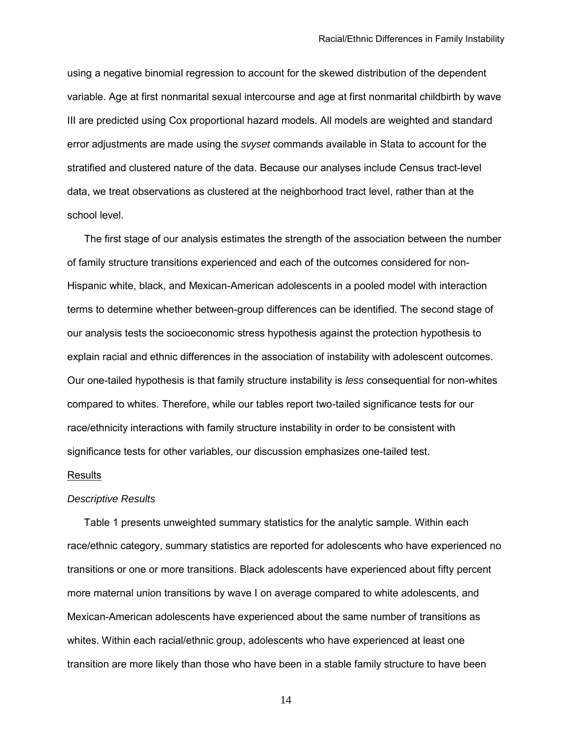using a negative binomial regression to account for the skewed distribution of the dependent variable. Age at first nonmarital sexual intercourse and age at first nonmarital childbirth by wave III are predicted using Cox proportional hazard models. All models are weighted and standard error adjustments are made using the *svyset* commands available in Stata to account for the stratified and clustered nature of the data. Because our analyses include Census tract-level data, we treat observations as clustered at the neighborhood tract level, rather than at the school level.

The first stage of our analysis estimates the strength of the association between the number of family structure transitions experienced and each of the outcomes considered for non-Hispanic white, black, and Mexican-American adolescents in a pooled model with interaction terms to determine whether between-group differences can be identified. The second stage of our analysis tests the socioeconomic stress hypothesis against the protection hypothesis to explain racial and ethnic differences in the association of instability with adolescent outcomes. Our one-tailed hypothesis is that family structure instability is *less* consequential for non-whites compared to whites. Therefore, while our tables report two-tailed significance tests for our race/ethnicity interactions with family structure instability in order to be consistent with significance tests for other variables, our discussion emphasizes one-tailed test.

#### Results

## *Descriptive Results*

 Table 1 presents unweighted summary statistics for the analytic sample. Within each race/ethnic category, summary statistics are reported for adolescents who have experienced no transitions or one or more transitions. Black adolescents have experienced about fifty percent more maternal union transitions by wave I on average compared to white adolescents, and Mexican-American adolescents have experienced about the same number of transitions as whites. Within each racial/ethnic group, adolescents who have experienced at least one transition are more likely than those who have been in a stable family structure to have been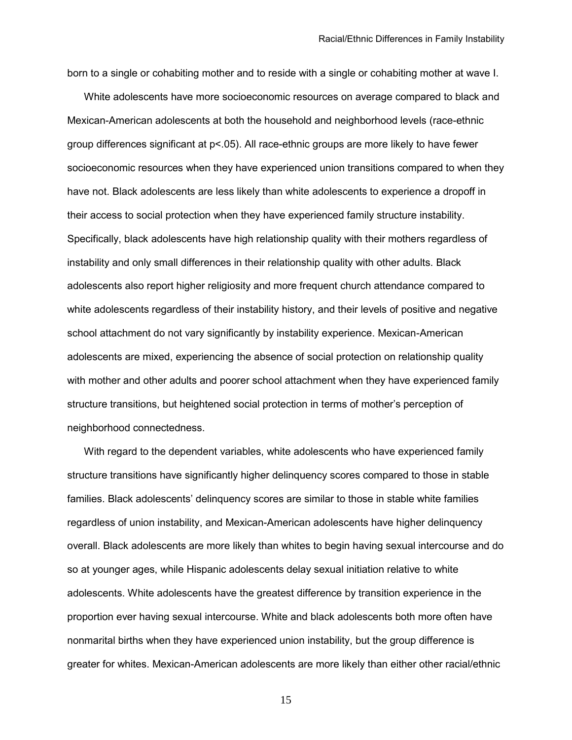born to a single or cohabiting mother and to reside with a single or cohabiting mother at wave I.

 White adolescents have more socioeconomic resources on average compared to black and Mexican-American adolescents at both the household and neighborhood levels (race-ethnic group differences significant at p<.05). All race-ethnic groups are more likely to have fewer socioeconomic resources when they have experienced union transitions compared to when they have not. Black adolescents are less likely than white adolescents to experience a dropoff in their access to social protection when they have experienced family structure instability. Specifically, black adolescents have high relationship quality with their mothers regardless of instability and only small differences in their relationship quality with other adults. Black adolescents also report higher religiosity and more frequent church attendance compared to white adolescents regardless of their instability history, and their levels of positive and negative school attachment do not vary significantly by instability experience. Mexican-American adolescents are mixed, experiencing the absence of social protection on relationship quality with mother and other adults and poorer school attachment when they have experienced family structure transitions, but heightened social protection in terms of mother's perception of neighborhood connectedness.

 With regard to the dependent variables, white adolescents who have experienced family structure transitions have significantly higher delinquency scores compared to those in stable families. Black adolescents' delinquency scores are similar to those in stable white families regardless of union instability, and Mexican-American adolescents have higher delinquency overall. Black adolescents are more likely than whites to begin having sexual intercourse and do so at younger ages, while Hispanic adolescents delay sexual initiation relative to white adolescents. White adolescents have the greatest difference by transition experience in the proportion ever having sexual intercourse. White and black adolescents both more often have nonmarital births when they have experienced union instability, but the group difference is greater for whites. Mexican-American adolescents are more likely than either other racial/ethnic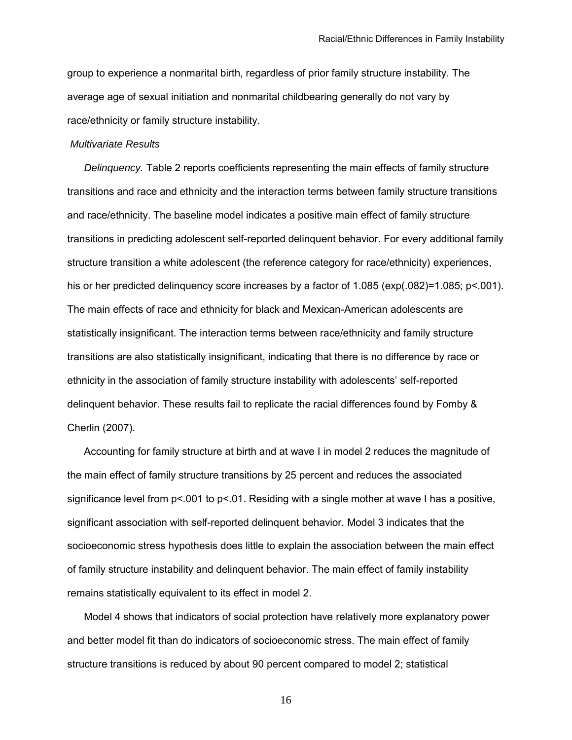group to experience a nonmarital birth, regardless of prior family structure instability. The average age of sexual initiation and nonmarital childbearing generally do not vary by race/ethnicity or family structure instability.

## *Multivariate Results*

*Delinquency.* Table 2 reports coefficients representing the main effects of family structure transitions and race and ethnicity and the interaction terms between family structure transitions and race/ethnicity. The baseline model indicates a positive main effect of family structure transitions in predicting adolescent self-reported delinquent behavior. For every additional family structure transition a white adolescent (the reference category for race/ethnicity) experiences, his or her predicted delinguency score increases by a factor of 1.085 (exp(.082)=1.085; p<.001). The main effects of race and ethnicity for black and Mexican-American adolescents are statistically insignificant. The interaction terms between race/ethnicity and family structure transitions are also statistically insignificant, indicating that there is no difference by race or ethnicity in the association of family structure instability with adolescents' self-reported delinquent behavior. These results fail to replicate the racial differences found by Fomby & Cherlin (2007).

 Accounting for family structure at birth and at wave I in model 2 reduces the magnitude of the main effect of family structure transitions by 25 percent and reduces the associated significance level from p<.001 to p<.01. Residing with a single mother at wave I has a positive, significant association with self-reported delinquent behavior. Model 3 indicates that the socioeconomic stress hypothesis does little to explain the association between the main effect of family structure instability and delinquent behavior. The main effect of family instability remains statistically equivalent to its effect in model 2.

 Model 4 shows that indicators of social protection have relatively more explanatory power and better model fit than do indicators of socioeconomic stress. The main effect of family structure transitions is reduced by about 90 percent compared to model 2; statistical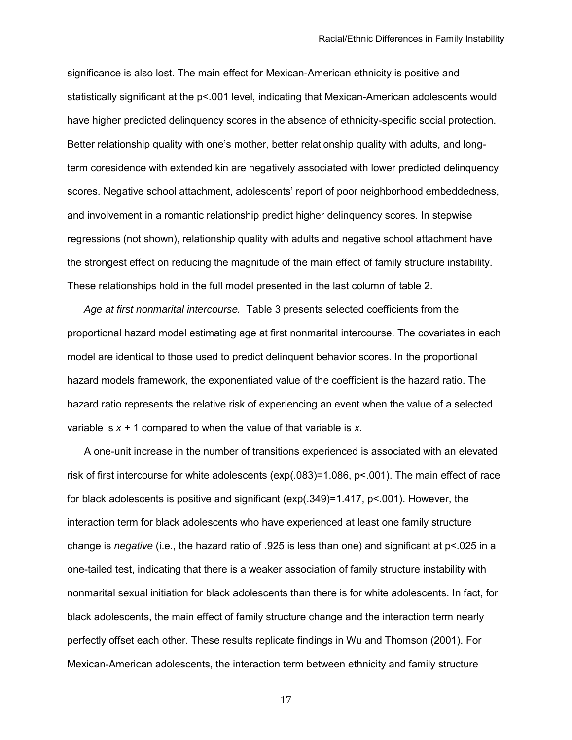significance is also lost. The main effect for Mexican-American ethnicity is positive and statistically significant at the p<.001 level, indicating that Mexican-American adolescents would have higher predicted delinquency scores in the absence of ethnicity-specific social protection. Better relationship quality with one's mother, better relationship quality with adults, and longterm coresidence with extended kin are negatively associated with lower predicted delinquency scores. Negative school attachment, adolescents' report of poor neighborhood embeddedness, and involvement in a romantic relationship predict higher delinquency scores. In stepwise regressions (not shown), relationship quality with adults and negative school attachment have the strongest effect on reducing the magnitude of the main effect of family structure instability. These relationships hold in the full model presented in the last column of table 2.

 *Age at first nonmarital intercourse.* Table 3 presents selected coefficients from the proportional hazard model estimating age at first nonmarital intercourse. The covariates in each model are identical to those used to predict delinquent behavior scores. In the proportional hazard models framework, the exponentiated value of the coefficient is the hazard ratio. The hazard ratio represents the relative risk of experiencing an event when the value of a selected variable is *x* + 1 compared to when the value of that variable is *x*.

A one-unit increase in the number of transitions experienced is associated with an elevated risk of first intercourse for white adolescents (exp(.083)=1.086, p<.001). The main effect of race for black adolescents is positive and significant (exp(.349)=1.417, p<.001). However, the interaction term for black adolescents who have experienced at least one family structure change is *negative* (i.e., the hazard ratio of .925 is less than one) and significant at p<.025 in a one-tailed test, indicating that there is a weaker association of family structure instability with nonmarital sexual initiation for black adolescents than there is for white adolescents. In fact, for black adolescents, the main effect of family structure change and the interaction term nearly perfectly offset each other. These results replicate findings in Wu and Thomson (2001). For Mexican-American adolescents, the interaction term between ethnicity and family structure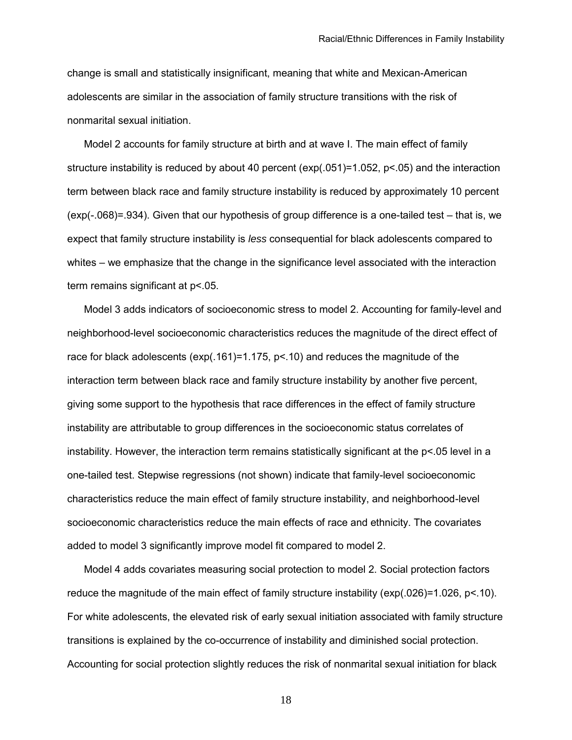change is small and statistically insignificant, meaning that white and Mexican-American adolescents are similar in the association of family structure transitions with the risk of nonmarital sexual initiation.

 Model 2 accounts for family structure at birth and at wave I. The main effect of family structure instability is reduced by about 40 percent (exp(.051)=1.052, p<.05) and the interaction term between black race and family structure instability is reduced by approximately 10 percent (exp(-.068)=.934). Given that our hypothesis of group difference is a one-tailed test – that is, we expect that family structure instability is *less* consequential for black adolescents compared to whites – we emphasize that the change in the significance level associated with the interaction term remains significant at  $p$  < 05.

 Model 3 adds indicators of socioeconomic stress to model 2. Accounting for family-level and neighborhood-level socioeconomic characteristics reduces the magnitude of the direct effect of race for black adolescents (exp(.161)=1.175, p<.10) and reduces the magnitude of the interaction term between black race and family structure instability by another five percent, giving some support to the hypothesis that race differences in the effect of family structure instability are attributable to group differences in the socioeconomic status correlates of instability. However, the interaction term remains statistically significant at the p<.05 level in a one-tailed test. Stepwise regressions (not shown) indicate that family-level socioeconomic characteristics reduce the main effect of family structure instability, and neighborhood-level socioeconomic characteristics reduce the main effects of race and ethnicity. The covariates added to model 3 significantly improve model fit compared to model 2.

 Model 4 adds covariates measuring social protection to model 2. Social protection factors reduce the magnitude of the main effect of family structure instability (exp(.026)=1.026, p<.10). For white adolescents, the elevated risk of early sexual initiation associated with family structure transitions is explained by the co-occurrence of instability and diminished social protection. Accounting for social protection slightly reduces the risk of nonmarital sexual initiation for black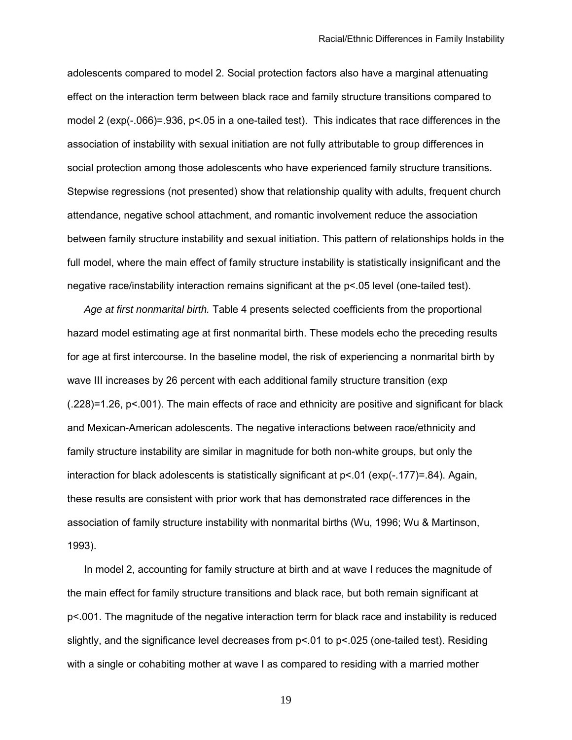adolescents compared to model 2. Social protection factors also have a marginal attenuating effect on the interaction term between black race and family structure transitions compared to model 2 (exp(-.066)=.936, p<.05 in a one-tailed test). This indicates that race differences in the association of instability with sexual initiation are not fully attributable to group differences in social protection among those adolescents who have experienced family structure transitions. Stepwise regressions (not presented) show that relationship quality with adults, frequent church attendance, negative school attachment, and romantic involvement reduce the association between family structure instability and sexual initiation. This pattern of relationships holds in the full model, where the main effect of family structure instability is statistically insignificant and the negative race/instability interaction remains significant at the p<.05 level (one-tailed test).

*Age at first nonmarital birth.* Table 4 presents selected coefficients from the proportional hazard model estimating age at first nonmarital birth. These models echo the preceding results for age at first intercourse. In the baseline model, the risk of experiencing a nonmarital birth by wave III increases by 26 percent with each additional family structure transition (exp (.228)=1.26, p<.001). The main effects of race and ethnicity are positive and significant for black and Mexican-American adolescents. The negative interactions between race/ethnicity and family structure instability are similar in magnitude for both non-white groups, but only the interaction for black adolescents is statistically significant at  $p<01$  (exp(-.177)=.84). Again, these results are consistent with prior work that has demonstrated race differences in the association of family structure instability with nonmarital births (Wu, 1996; Wu & Martinson, 1993).

 In model 2, accounting for family structure at birth and at wave I reduces the magnitude of the main effect for family structure transitions and black race, but both remain significant at p<.001. The magnitude of the negative interaction term for black race and instability is reduced slightly, and the significance level decreases from p<.01 to p<.025 (one-tailed test). Residing with a single or cohabiting mother at wave I as compared to residing with a married mother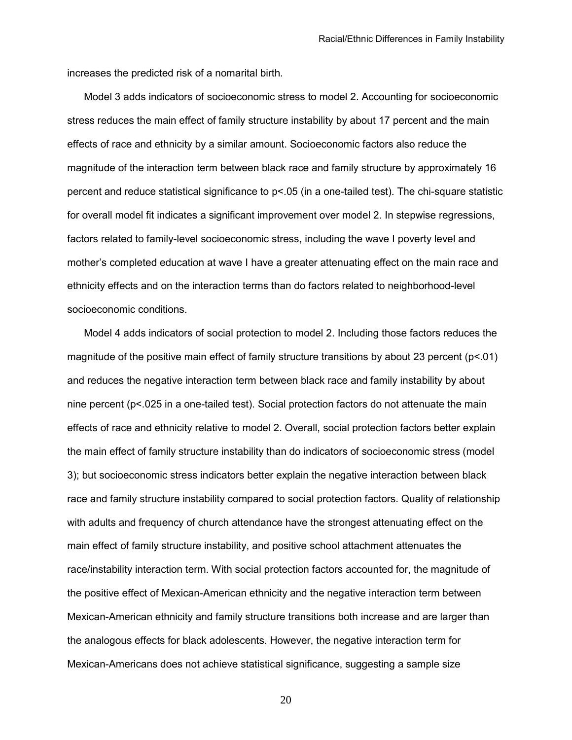increases the predicted risk of a nomarital birth.

 Model 3 adds indicators of socioeconomic stress to model 2. Accounting for socioeconomic stress reduces the main effect of family structure instability by about 17 percent and the main effects of race and ethnicity by a similar amount. Socioeconomic factors also reduce the magnitude of the interaction term between black race and family structure by approximately 16 percent and reduce statistical significance to p<.05 (in a one-tailed test). The chi-square statistic for overall model fit indicates a significant improvement over model 2. In stepwise regressions, factors related to family-level socioeconomic stress, including the wave I poverty level and mother's completed education at wave I have a greater attenuating effect on the main race and ethnicity effects and on the interaction terms than do factors related to neighborhood-level socioeconomic conditions.

 Model 4 adds indicators of social protection to model 2. Including those factors reduces the magnitude of the positive main effect of family structure transitions by about 23 percent (p<.01) and reduces the negative interaction term between black race and family instability by about nine percent (p<.025 in a one-tailed test). Social protection factors do not attenuate the main effects of race and ethnicity relative to model 2. Overall, social protection factors better explain the main effect of family structure instability than do indicators of socioeconomic stress (model 3); but socioeconomic stress indicators better explain the negative interaction between black race and family structure instability compared to social protection factors. Quality of relationship with adults and frequency of church attendance have the strongest attenuating effect on the main effect of family structure instability, and positive school attachment attenuates the race/instability interaction term. With social protection factors accounted for, the magnitude of the positive effect of Mexican-American ethnicity and the negative interaction term between Mexican-American ethnicity and family structure transitions both increase and are larger than the analogous effects for black adolescents. However, the negative interaction term for Mexican-Americans does not achieve statistical significance, suggesting a sample size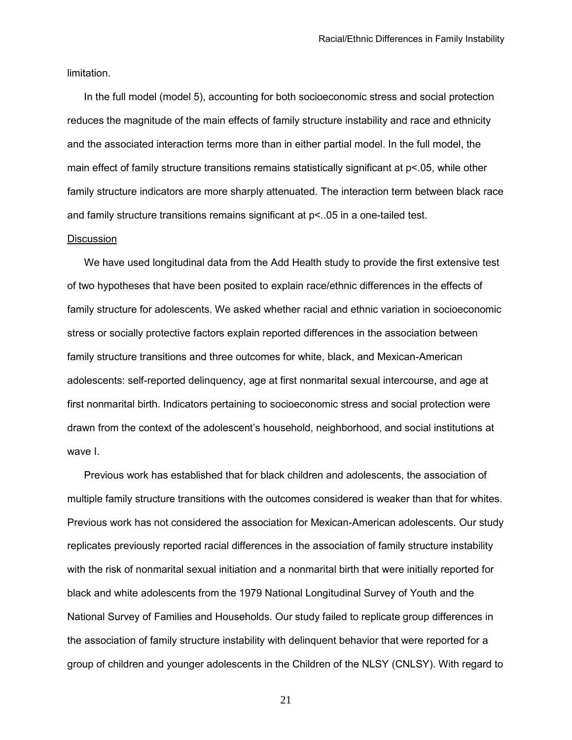limitation.

 In the full model (model 5), accounting for both socioeconomic stress and social protection reduces the magnitude of the main effects of family structure instability and race and ethnicity and the associated interaction terms more than in either partial model. In the full model, the main effect of family structure transitions remains statistically significant at p<.05, while other family structure indicators are more sharply attenuated. The interaction term between black race and family structure transitions remains significant at p<..05 in a one-tailed test.

#### **Discussion**

We have used longitudinal data from the Add Health study to provide the first extensive test of two hypotheses that have been posited to explain race/ethnic differences in the effects of family structure for adolescents. We asked whether racial and ethnic variation in socioeconomic stress or socially protective factors explain reported differences in the association between family structure transitions and three outcomes for white, black, and Mexican-American adolescents: self-reported delinquency, age at first nonmarital sexual intercourse, and age at first nonmarital birth. Indicators pertaining to socioeconomic stress and social protection were drawn from the context of the adolescent's household, neighborhood, and social institutions at wave I.

 Previous work has established that for black children and adolescents, the association of multiple family structure transitions with the outcomes considered is weaker than that for whites. Previous work has not considered the association for Mexican-American adolescents. Our study replicates previously reported racial differences in the association of family structure instability with the risk of nonmarital sexual initiation and a nonmarital birth that were initially reported for black and white adolescents from the 1979 National Longitudinal Survey of Youth and the National Survey of Families and Households. Our study failed to replicate group differences in the association of family structure instability with delinquent behavior that were reported for a group of children and younger adolescents in the Children of the NLSY (CNLSY). With regard to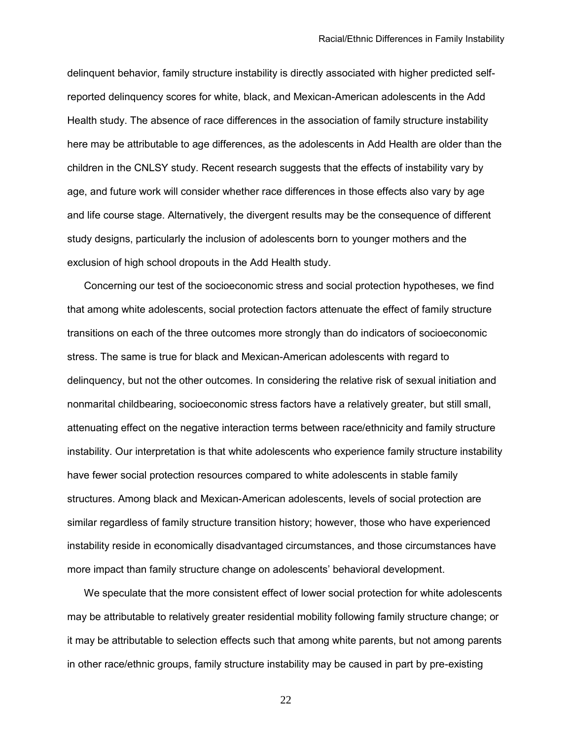delinquent behavior, family structure instability is directly associated with higher predicted selfreported delinquency scores for white, black, and Mexican-American adolescents in the Add Health study. The absence of race differences in the association of family structure instability here may be attributable to age differences, as the adolescents in Add Health are older than the children in the CNLSY study. Recent research suggests that the effects of instability vary by age, and future work will consider whether race differences in those effects also vary by age and life course stage. Alternatively, the divergent results may be the consequence of different study designs, particularly the inclusion of adolescents born to younger mothers and the exclusion of high school dropouts in the Add Health study.

 Concerning our test of the socioeconomic stress and social protection hypotheses, we find that among white adolescents, social protection factors attenuate the effect of family structure transitions on each of the three outcomes more strongly than do indicators of socioeconomic stress. The same is true for black and Mexican-American adolescents with regard to delinquency, but not the other outcomes. In considering the relative risk of sexual initiation and nonmarital childbearing, socioeconomic stress factors have a relatively greater, but still small, attenuating effect on the negative interaction terms between race/ethnicity and family structure instability. Our interpretation is that white adolescents who experience family structure instability have fewer social protection resources compared to white adolescents in stable family structures. Among black and Mexican-American adolescents, levels of social protection are similar regardless of family structure transition history; however, those who have experienced instability reside in economically disadvantaged circumstances, and those circumstances have more impact than family structure change on adolescents' behavioral development.

 We speculate that the more consistent effect of lower social protection for white adolescents may be attributable to relatively greater residential mobility following family structure change; or it may be attributable to selection effects such that among white parents, but not among parents in other race/ethnic groups, family structure instability may be caused in part by pre-existing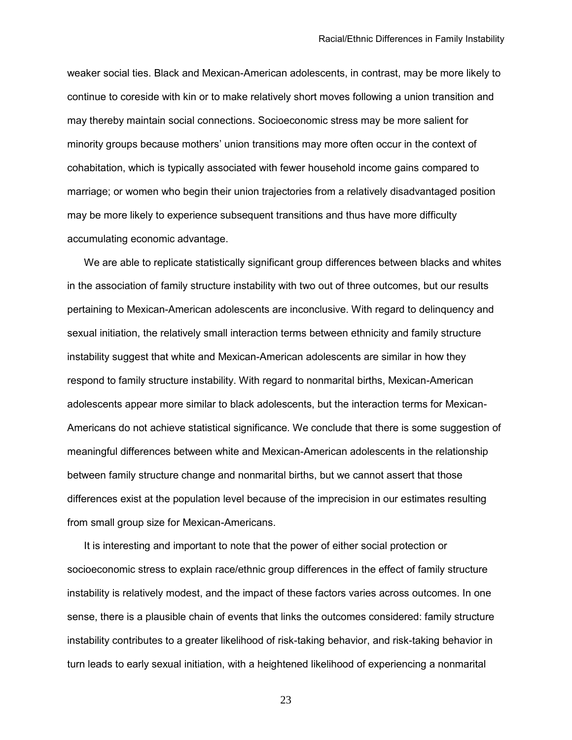weaker social ties. Black and Mexican-American adolescents, in contrast, may be more likely to continue to coreside with kin or to make relatively short moves following a union transition and may thereby maintain social connections. Socioeconomic stress may be more salient for minority groups because mothers' union transitions may more often occur in the context of cohabitation, which is typically associated with fewer household income gains compared to marriage; or women who begin their union trajectories from a relatively disadvantaged position may be more likely to experience subsequent transitions and thus have more difficulty accumulating economic advantage.

 We are able to replicate statistically significant group differences between blacks and whites in the association of family structure instability with two out of three outcomes, but our results pertaining to Mexican-American adolescents are inconclusive. With regard to delinquency and sexual initiation, the relatively small interaction terms between ethnicity and family structure instability suggest that white and Mexican-American adolescents are similar in how they respond to family structure instability. With regard to nonmarital births, Mexican-American adolescents appear more similar to black adolescents, but the interaction terms for Mexican-Americans do not achieve statistical significance. We conclude that there is some suggestion of meaningful differences between white and Mexican-American adolescents in the relationship between family structure change and nonmarital births, but we cannot assert that those differences exist at the population level because of the imprecision in our estimates resulting from small group size for Mexican-Americans.

 It is interesting and important to note that the power of either social protection or socioeconomic stress to explain race/ethnic group differences in the effect of family structure instability is relatively modest, and the impact of these factors varies across outcomes. In one sense, there is a plausible chain of events that links the outcomes considered: family structure instability contributes to a greater likelihood of risk-taking behavior, and risk-taking behavior in turn leads to early sexual initiation, with a heightened likelihood of experiencing a nonmarital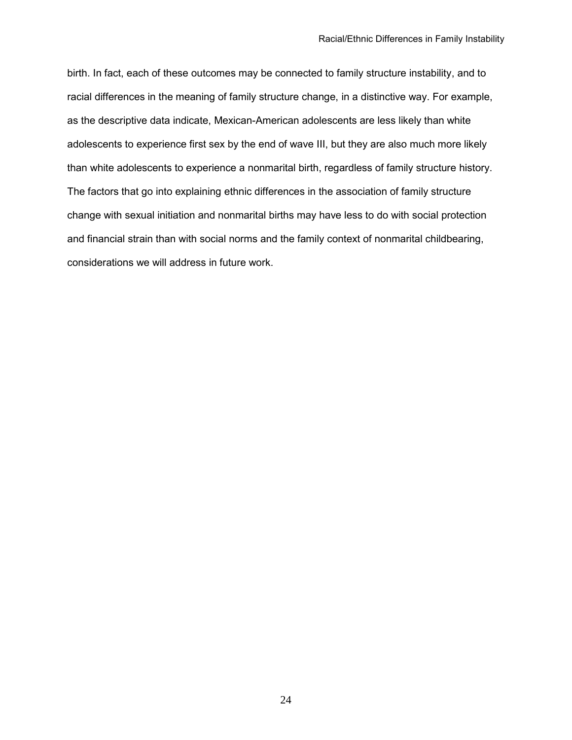birth. In fact, each of these outcomes may be connected to family structure instability, and to racial differences in the meaning of family structure change, in a distinctive way. For example, as the descriptive data indicate, Mexican-American adolescents are less likely than white adolescents to experience first sex by the end of wave III, but they are also much more likely than white adolescents to experience a nonmarital birth, regardless of family structure history. The factors that go into explaining ethnic differences in the association of family structure change with sexual initiation and nonmarital births may have less to do with social protection and financial strain than with social norms and the family context of nonmarital childbearing, considerations we will address in future work.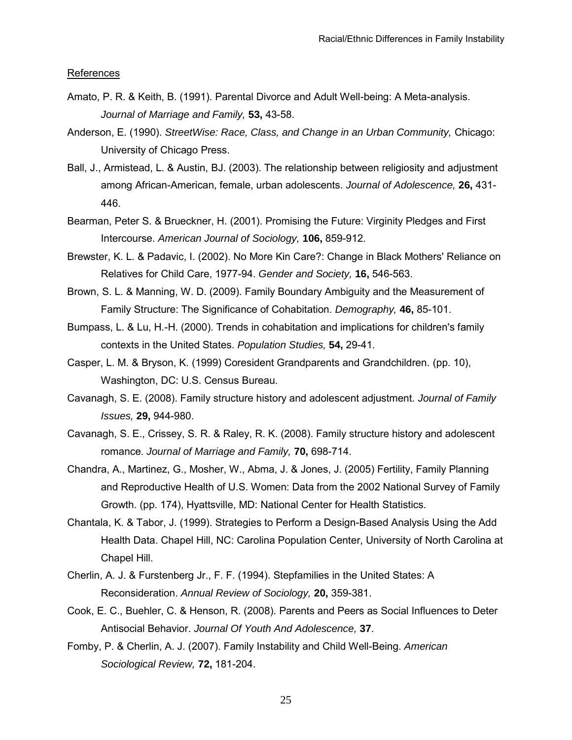References

- Amato, P. R. & Keith, B. (1991). Parental Divorce and Adult Well-being: A Meta-analysis. *Journal of Marriage and Family,* **53,** 43-58.
- Anderson, E. (1990). *StreetWise: Race, Class, and Change in an Urban Community,* Chicago: University of Chicago Press.
- Ball, J., Armistead, L. & Austin, BJ. (2003). The relationship between religiosity and adjustment among African-American, female, urban adolescents. *Journal of Adolescence,* **26,** 431- 446.
- Bearman, Peter S. & Brueckner, H. (2001). Promising the Future: Virginity Pledges and First Intercourse. *American Journal of Sociology,* **106,** 859-912.
- Brewster, K. L. & Padavic, I. (2002). No More Kin Care?: Change in Black Mothers' Reliance on Relatives for Child Care, 1977-94. *Gender and Society,* **16,** 546-563.
- Brown, S. L. & Manning, W. D. (2009). Family Boundary Ambiguity and the Measurement of Family Structure: The Significance of Cohabitation. *Demography,* **46,** 85-101.
- Bumpass, L. & Lu, H.-H. (2000). Trends in cohabitation and implications for children's family contexts in the United States. *Population Studies,* **54,** 29-41.
- Casper, L. M. & Bryson, K. (1999) Coresident Grandparents and Grandchildren. (pp. 10), Washington, DC: U.S. Census Bureau.
- Cavanagh, S. E. (2008). Family structure history and adolescent adjustment. *Journal of Family Issues,* **29,** 944-980.
- Cavanagh, S. E., Crissey, S. R. & Raley, R. K. (2008). Family structure history and adolescent romance. *Journal of Marriage and Family,* **70,** 698-714.
- Chandra, A., Martinez, G., Mosher, W., Abma, J. & Jones, J. (2005) Fertility, Family Planning and Reproductive Health of U.S. Women: Data from the 2002 National Survey of Family Growth. (pp. 174), Hyattsville, MD: National Center for Health Statistics.
- Chantala, K. & Tabor, J. (1999). Strategies to Perform a Design-Based Analysis Using the Add Health Data. Chapel Hill, NC: Carolina Population Center, University of North Carolina at Chapel Hill.
- Cherlin, A. J. & Furstenberg Jr., F. F. (1994). Stepfamilies in the United States: A Reconsideration. *Annual Review of Sociology,* **20,** 359-381.
- Cook, E. C., Buehler, C. & Henson, R. (2008). Parents and Peers as Social Influences to Deter Antisocial Behavior. *Journal Of Youth And Adolescence,* **37**.
- Fomby, P. & Cherlin, A. J. (2007). Family Instability and Child Well-Being. *American Sociological Review,* **72,** 181-204.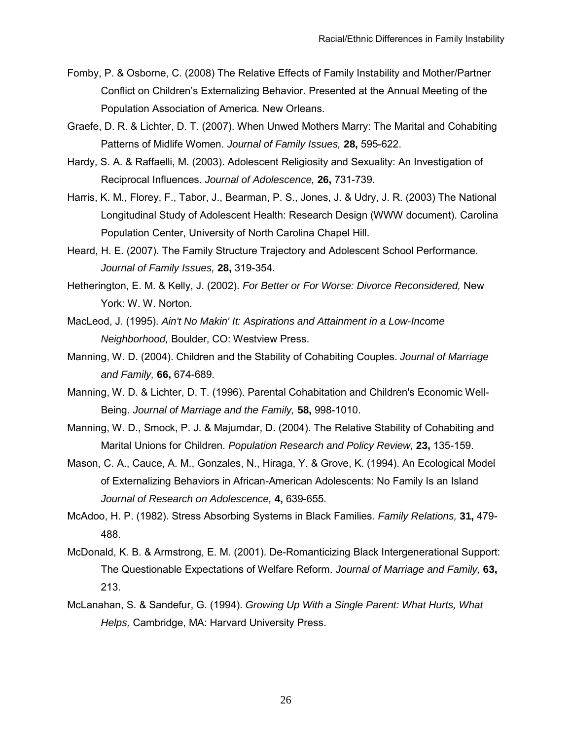- Fomby, P. & Osborne, C. (2008) The Relative Effects of Family Instability and Mother/Partner Conflict on Children's Externalizing Behavior. Presented at the Annual Meeting of the Population Association of America*.* New Orleans.
- Graefe, D. R. & Lichter, D. T. (2007). When Unwed Mothers Marry: The Marital and Cohabiting Patterns of Midlife Women. *Journal of Family Issues,* **28,** 595-622.
- Hardy, S. A. & Raffaelli, M. (2003). Adolescent Religiosity and Sexuality: An Investigation of Reciprocal Influences. *Journal of Adolescence,* **26,** 731-739.
- Harris, K. M., Florey, F., Tabor, J., Bearman, P. S., Jones, J. & Udry, J. R. (2003) The National Longitudinal Study of Adolescent Health: Research Design (WWW document). Carolina Population Center, University of North Carolina Chapel Hill.
- Heard, H. E. (2007). The Family Structure Trajectory and Adolescent School Performance. *Journal of Family Issues,* **28,** 319-354.
- Hetherington, E. M. & Kelly, J. (2002). *For Better or For Worse: Divorce Reconsidered,* New York: W. W. Norton.
- MacLeod, J. (1995). *Ain't No Makin' It: Aspirations and Attainment in a Low-Income Neighborhood,* Boulder, CO: Westview Press.
- Manning, W. D. (2004). Children and the Stability of Cohabiting Couples. *Journal of Marriage and Family,* **66,** 674-689.
- Manning, W. D. & Lichter, D. T. (1996). Parental Cohabitation and Children's Economic Well-Being. *Journal of Marriage and the Family,* **58,** 998-1010.
- Manning, W. D., Smock, P. J. & Majumdar, D. (2004). The Relative Stability of Cohabiting and Marital Unions for Children. *Population Research and Policy Review,* **23,** 135-159.
- Mason, C. A., Cauce, A. M., Gonzales, N., Hiraga, Y. & Grove, K. (1994). An Ecological Model of Externalizing Behaviors in African-American Adolescents: No Family Is an Island *Journal of Research on Adolescence,* **4,** 639-655.
- McAdoo, H. P. (1982). Stress Absorbing Systems in Black Families. *Family Relations,* **31,** 479- 488.
- McDonald, K. B. & Armstrong, E. M. (2001). De-Romanticizing Black Intergenerational Support: The Questionable Expectations of Welfare Reform. *Journal of Marriage and Family,* **63,** 213.
- McLanahan, S. & Sandefur, G. (1994). *Growing Up With a Single Parent: What Hurts, What Helps,* Cambridge, MA: Harvard University Press.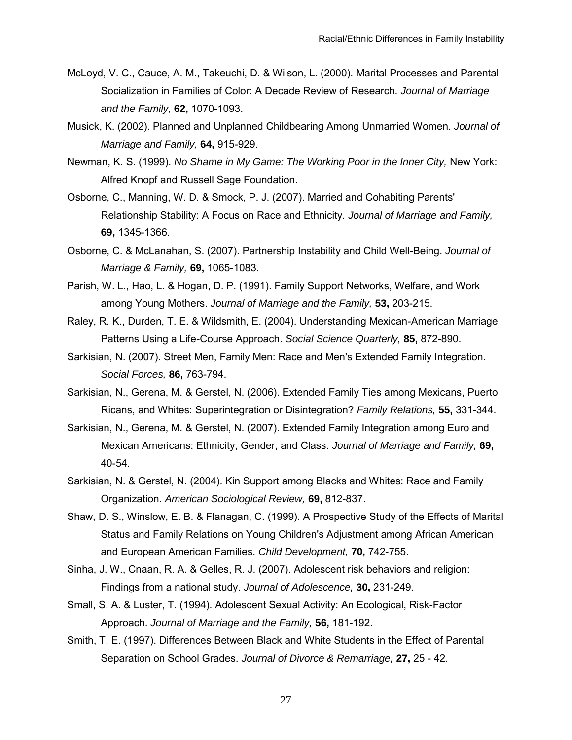- McLoyd, V. C., Cauce, A. M., Takeuchi, D. & Wilson, L. (2000). Marital Processes and Parental Socialization in Families of Color: A Decade Review of Research. *Journal of Marriage and the Family,* **62,** 1070-1093.
- Musick, K. (2002). Planned and Unplanned Childbearing Among Unmarried Women. *Journal of Marriage and Family,* **64,** 915-929.
- Newman, K. S. (1999). *No Shame in My Game: The Working Poor in the Inner City,* New York: Alfred Knopf and Russell Sage Foundation.
- Osborne, C., Manning, W. D. & Smock, P. J. (2007). Married and Cohabiting Parents' Relationship Stability: A Focus on Race and Ethnicity. *Journal of Marriage and Family,* **69,** 1345-1366.
- Osborne, C. & McLanahan, S. (2007). Partnership Instability and Child Well-Being. *Journal of Marriage & Family,* **69,** 1065-1083.
- Parish, W. L., Hao, L. & Hogan, D. P. (1991). Family Support Networks, Welfare, and Work among Young Mothers. *Journal of Marriage and the Family,* **53,** 203-215.
- Raley, R. K., Durden, T. E. & Wildsmith, E. (2004). Understanding Mexican-American Marriage Patterns Using a Life-Course Approach. *Social Science Quarterly,* **85,** 872-890.
- Sarkisian, N. (2007). Street Men, Family Men: Race and Men's Extended Family Integration. *Social Forces,* **86,** 763-794.
- Sarkisian, N., Gerena, M. & Gerstel, N. (2006). Extended Family Ties among Mexicans, Puerto Ricans, and Whites: Superintegration or Disintegration? *Family Relations,* **55,** 331-344.
- Sarkisian, N., Gerena, M. & Gerstel, N. (2007). Extended Family Integration among Euro and Mexican Americans: Ethnicity, Gender, and Class. *Journal of Marriage and Family,* **69,** 40-54.
- Sarkisian, N. & Gerstel, N. (2004). Kin Support among Blacks and Whites: Race and Family Organization. *American Sociological Review,* **69,** 812-837.
- Shaw, D. S., Winslow, E. B. & Flanagan, C. (1999). A Prospective Study of the Effects of Marital Status and Family Relations on Young Children's Adjustment among African American and European American Families. *Child Development,* **70,** 742-755.
- Sinha, J. W., Cnaan, R. A. & Gelles, R. J. (2007). Adolescent risk behaviors and religion: Findings from a national study. *Journal of Adolescence,* **30,** 231-249.
- Small, S. A. & Luster, T. (1994). Adolescent Sexual Activity: An Ecological, Risk-Factor Approach. *Journal of Marriage and the Family,* **56,** 181-192.
- Smith, T. E. (1997). Differences Between Black and White Students in the Effect of Parental Separation on School Grades. *Journal of Divorce & Remarriage,* **27,** 25 - 42.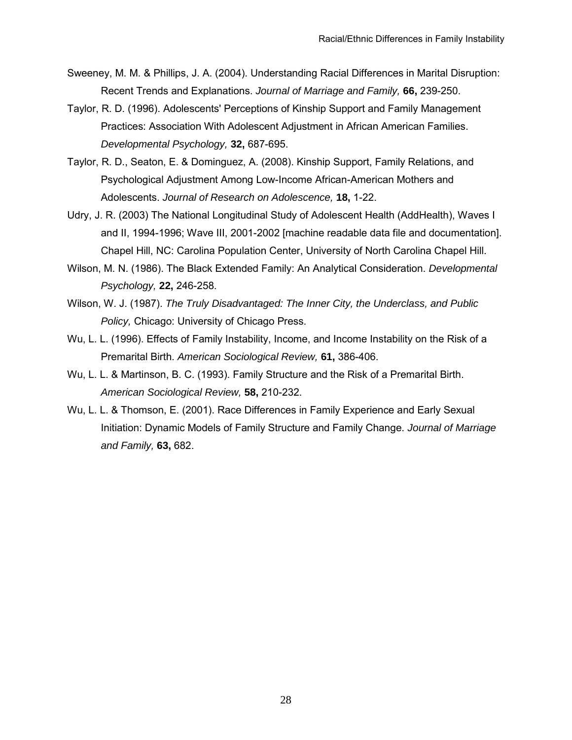- Sweeney, M. M. & Phillips, J. A. (2004). Understanding Racial Differences in Marital Disruption: Recent Trends and Explanations. *Journal of Marriage and Family,* **66,** 239-250.
- Taylor, R. D. (1996). Adolescents' Perceptions of Kinship Support and Family Management Practices: Association With Adolescent Adjustment in African American Families. *Developmental Psychology,* **32,** 687-695.
- Taylor, R. D., Seaton, E. & Dominguez, A. (2008). Kinship Support, Family Relations, and Psychological Adjustment Among Low-Income African-American Mothers and Adolescents. *Journal of Research on Adolescence,* **18,** 1-22.
- Udry, J. R. (2003) The National Longitudinal Study of Adolescent Health (AddHealth), Waves I and II, 1994-1996; Wave III, 2001-2002 [machine readable data file and documentation]. Chapel Hill, NC: Carolina Population Center, University of North Carolina Chapel Hill.
- Wilson, M. N. (1986). The Black Extended Family: An Analytical Consideration. *Developmental Psychology,* **22,** 246-258.
- Wilson, W. J. (1987). *The Truly Disadvantaged: The Inner City, the Underclass, and Public Policy,* Chicago: University of Chicago Press.
- Wu, L. L. (1996). Effects of Family Instability, Income, and Income Instability on the Risk of a Premarital Birth. *American Sociological Review,* **61,** 386-406.
- Wu, L. L. & Martinson, B. C. (1993). Family Structure and the Risk of a Premarital Birth. *American Sociological Review,* **58,** 210-232.
- Wu, L. L. & Thomson, E. (2001). Race Differences in Family Experience and Early Sexual Initiation: Dynamic Models of Family Structure and Family Change. *Journal of Marriage and Family,* **63,** 682.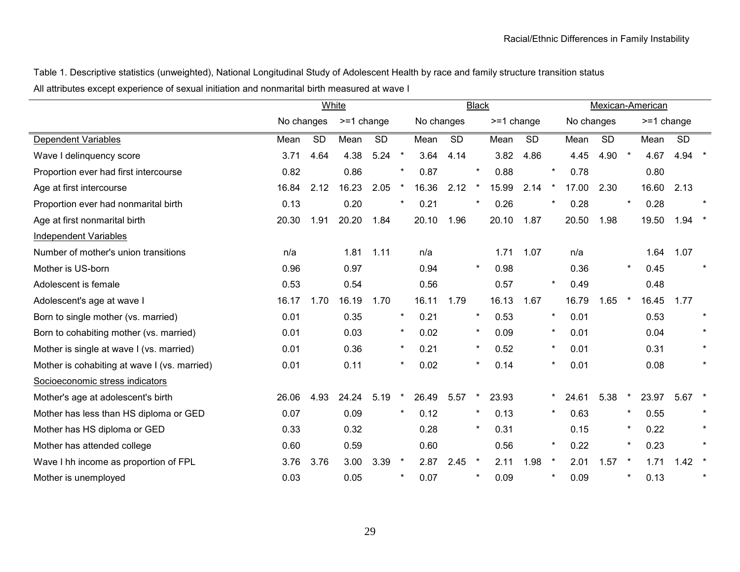Table 1. Descriptive statistics (unweighted), National Longitudinal Study of Adolescent Health by race and family structure transition status All attributes except experience of sexual initiation and nonmarital birth measured at wave I

|                                              | White      |           |              |           | <b>Black</b> |            |           |          |              | Mexican-American |         |            |           |         |            |           |         |
|----------------------------------------------|------------|-----------|--------------|-----------|--------------|------------|-----------|----------|--------------|------------------|---------|------------|-----------|---------|------------|-----------|---------|
|                                              | No changes |           | $>=1$ change |           |              | No changes |           |          | $>=1$ change |                  |         | No changes |           |         | >=1 change |           |         |
| Dependent Variables                          | Mean       | <b>SD</b> | Mean         | <b>SD</b> |              | Mean       | <b>SD</b> |          | Mean         | <b>SD</b>        |         | Mean       | <b>SD</b> |         | Mean       | <b>SD</b> |         |
| Wave I delinquency score                     | 3.71       | 4.64      | 4.38         | 5.24      | $\star$      | 3.64       | 4.14      |          | 3.82         | 4.86             |         | 4.45       | 4.90      | $\star$ | 4.67       | 4.94      |         |
| Proportion ever had first intercourse        | 0.82       |           | 0.86         |           |              | 0.87       |           | $\star$  | 0.88         |                  | $\ast$  | 0.78       |           |         | 0.80       |           |         |
| Age at first intercourse                     | 16.84      | 2.12      | 16.23        | 2.05      |              | 16.36      | 2.12      | $\star$  | 15.99        | 2.14             | $\ast$  | 17.00      | 2.30      |         | 16.60      | 2.13      |         |
| Proportion ever had nonmarital birth         | 0.13       |           | 0.20         |           | $\ast$       | 0.21       |           | $\ast$   | 0.26         |                  | $\star$ | 0.28       |           | $\star$ | 0.28       |           |         |
| Age at first nonmarital birth                | 20.30      | 1.91      | 20.20        | 1.84      |              | 20.10      | 1.96      |          | 20.10        | 1.87             |         | 20.50      | 1.98      |         | 19.50      | 1.94      |         |
| <b>Independent Variables</b>                 |            |           |              |           |              |            |           |          |              |                  |         |            |           |         |            |           |         |
| Number of mother's union transitions         | n/a        |           | 1.81         | 1.11      |              | n/a        |           |          | 1.71         | 1.07             |         | n/a        |           |         | 1.64       | 1.07      |         |
| Mother is US-born                            | 0.96       |           | 0.97         |           |              | 0.94       |           | $\star$  | 0.98         |                  |         | 0.36       |           | $\star$ | 0.45       |           |         |
| Adolescent is female                         | 0.53       |           | 0.54         |           |              | 0.56       |           |          | 0.57         |                  | $\star$ | 0.49       |           |         | 0.48       |           |         |
| Adolescent's age at wave I                   | 16.17      | 1.70      | 16.19        | 1.70      |              | 16.11      | 1.79      |          | 16.13        | 1.67             |         | 16.79      | 1.65      |         | 16.45      | 1.77      |         |
| Born to single mother (vs. married)          | 0.01       |           | 0.35         |           | $\star$      | 0.21       |           | $\star$  | 0.53         |                  | $\star$ | 0.01       |           |         | 0.53       |           |         |
| Born to cohabiting mother (vs. married)      | 0.01       |           | 0.03         |           | $\star$      | 0.02       |           | $\star$  | 0.09         |                  | $\star$ | 0.01       |           |         | 0.04       |           | $\star$ |
| Mother is single at wave I (vs. married)     | 0.01       |           | 0.36         |           | $\star$      | 0.21       |           | $\star$  | 0.52         |                  | $\star$ | 0.01       |           |         | 0.31       |           |         |
| Mother is cohabiting at wave I (vs. married) | 0.01       |           | 0.11         |           | $\star$      | 0.02       |           | $\ast$   | 0.14         |                  | $\star$ | 0.01       |           |         | 0.08       |           | $\star$ |
| Socioeconomic stress indicators              |            |           |              |           |              |            |           |          |              |                  |         |            |           |         |            |           |         |
| Mother's age at adolescent's birth           | 26.06      | 4.93      | 24.24        | 5.19      |              | 26.49      | 5.57      |          | 23.93        |                  | *       | 24.61      | 5.38      |         | 23.97      | 5.67      |         |
| Mother has less than HS diploma or GED       | 0.07       |           | 0.09         |           | $\star$      | 0.12       |           | $\ast$   | 0.13         |                  | $\star$ | 0.63       |           |         | 0.55       |           |         |
| Mother has HS diploma or GED                 | 0.33       |           | 0.32         |           |              | 0.28       |           | $\ast$   | 0.31         |                  |         | 0.15       |           |         | 0.22       |           |         |
| Mother has attended college                  | 0.60       |           | 0.59         |           |              | 0.60       |           |          | 0.56         |                  | $\star$ | 0.22       |           |         | 0.23       |           |         |
| Wave I hh income as proportion of FPL        | 3.76       | 3.76      | 3.00         | 3.39      | $\star$      | 2.87       | 2.45      | $\star$  | 2.11         | 1.98             | $\star$ | 2.01       | 1.57      |         | 1.71       | 1.42      |         |
| Mother is unemployed                         | 0.03       |           | 0.05         |           | $\ast$       | 0.07       |           | $^\star$ | 0.09         |                  | *       | 0.09       |           |         | 0.13       |           | $\star$ |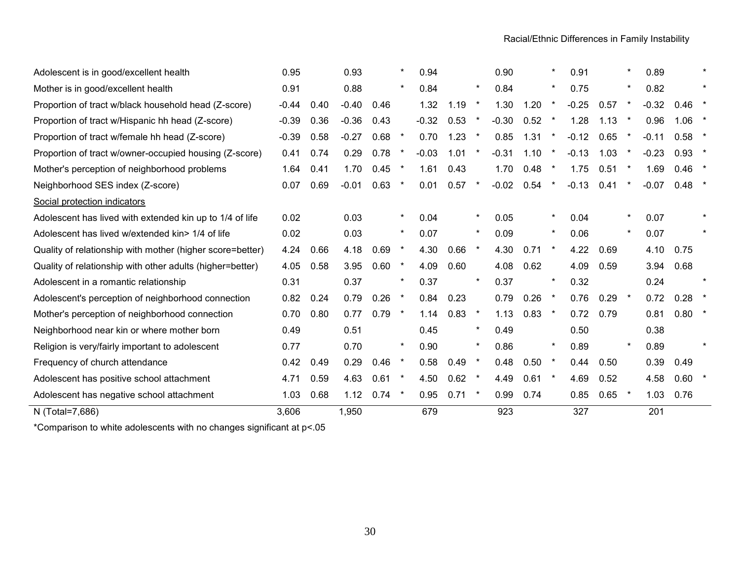| N (Total=7,686)                                           | 3,606   |      | 1,950   |      |         | 679     |      |          | 923     |      |          | 327     |      |         | 201     |          |         |
|-----------------------------------------------------------|---------|------|---------|------|---------|---------|------|----------|---------|------|----------|---------|------|---------|---------|----------|---------|
| Adolescent has negative school attachment                 | 1.03    | 0.68 | 1.12    | 0.74 | $\star$ | 0.95    | 0.71 | $\star$  | 0.99    | 0.74 |          | 0.85    | 0.65 | $\star$ | 1.03    | 0.76     |         |
| Adolescent has positive school attachment                 | 4.71    | 0.59 | 4.63    | 0.61 |         | 4.50    | 0.62 | $\ast$   | 4.49    | 0.61 | $\ast$   | 4.69    | 0.52 |         | 4.58    | 0.60     |         |
| Frequency of church attendance                            | 0.42    | 0.49 | 0.29    | 0.46 |         | 0.58    | 0.49 |          | 0.48    | 0.50 | $\ast$   | 0.44    | 0.50 |         | 0.39    | 0.49     |         |
| Religion is very/fairly important to adolescent           | 0.77    |      | 0.70    |      |         | 0.90    |      | $^\star$ | 0.86    |      | $\ast$   | 0.89    |      | $\star$ | 0.89    |          |         |
| Neighborhood near kin or where mother born                | 0.49    |      | 0.51    |      |         | 0.45    |      | $\star$  | 0.49    |      |          | 0.50    |      |         | 0.38    |          |         |
| Mother's perception of neighborhood connection            | 0.70    | 0.80 | 0.77    | 0.79 |         | 1.14    | 0.83 | $\ast$   | 1.13    | 0.83 | $\star$  | 0.72    | 0.79 |         | 0.81    | $0.80$ * |         |
| Adolescent's perception of neighborhood connection        | 0.82    | 0.24 | 0.79    | 0.26 |         | 0.84    | 0.23 |          | 0.79    | 0.26 | $\star$  | 0.76    | 0.29 |         | 0.72    | $0.28$ * |         |
| Adolescent in a romantic relationship                     | 0.31    |      | 0.37    |      | $\star$ | 0.37    |      | $\star$  | 0.37    |      | $\star$  | 0.32    |      |         | 0.24    |          |         |
| Quality of relationship with other adults (higher=better) | 4.05    | 0.58 | 3.95    | 0.60 | $\star$ | 4.09    | 0.60 |          | 4.08    | 0.62 |          | 4.09    | 0.59 |         | 3.94    | 0.68     |         |
| Quality of relationship with mother (higher score=better) | 4.24    | 0.66 | 4.18    | 0.69 | $\star$ | 4.30    | 0.66 | $\star$  | 4.30    | 0.71 | $\ast$   | 4.22    | 0.69 |         | 4.10    | 0.75     |         |
| Adolescent has lived w/extended kin> 1/4 of life          | 0.02    |      | 0.03    |      | $\star$ | 0.07    |      | $\ast$   | 0.09    |      | $\star$  | 0.06    |      | $\star$ | 0.07    |          |         |
| Adolescent has lived with extended kin up to 1/4 of life  | 0.02    |      | 0.03    |      | $\star$ | 0.04    |      | $\ast$   | 0.05    |      | $\ast$   | 0.04    |      | $\star$ | 0.07    |          |         |
| Social protection indicators                              |         |      |         |      |         |         |      |          |         |      |          |         |      |         |         |          |         |
| Neighborhood SES index (Z-score)                          | 0.07    | 0.69 | $-0.01$ | 0.63 |         | 0.01    | 0.57 |          | $-0.02$ | 0.54 | $\star$  | $-0.13$ | 0.41 |         | $-0.07$ | $0.48$ * |         |
| Mother's perception of neighborhood problems              | 1.64    | 0.41 | 1.70    | 0.45 |         | 1.61    | 0.43 |          | 1.70    | 0.48 | $\star$  | 1.75    | 0.51 | $\star$ | 1.69    | $0.46$ * |         |
| Proportion of tract w/owner-occupied housing (Z-score)    | 0.41    | 0.74 | 0.29    | 0.78 |         | $-0.03$ | 1.01 |          | $-0.31$ | 1.10 | $\star$  | $-0.13$ | 1.03 |         | $-0.23$ | $0.93$ * |         |
| Proportion of tract w/female hh head (Z-score)            | $-0.39$ | 0.58 | $-0.27$ | 0.68 | $\star$ | 0.70    | 1.23 | $\ast$   | 0.85    | 1.31 | $\ast$   | $-0.12$ | 0.65 | $\star$ | $-0.11$ | $0.58$ * |         |
| Proportion of tract w/Hispanic hh head (Z-score)          | $-0.39$ | 0.36 | $-0.36$ | 0.43 |         | $-0.32$ | 0.53 |          | $-0.30$ | 0.52 | $\star$  | 1.28    | 1.13 |         | 0.96    | 1.06     | $\star$ |
| Proportion of tract w/black household head (Z-score)      | $-0.44$ | 0.40 | $-0.40$ | 0.46 |         | 1.32    | 1.19 | $\ast$   | 1.30    | 1.20 | $\star$  | $-0.25$ | 0.57 | $\star$ | $-0.32$ | 0.46     | $\star$ |
| Mother is in good/excellent health                        | 0.91    |      | 0.88    |      | $\star$ | 0.84    |      | $^\star$ | 0.84    |      | $^\star$ | 0.75    |      | $\ast$  | 0.82    |          |         |
| Adolescent is in good/excellent health                    | 0.95    |      | 0.93    |      |         | 0.94    |      |          | 0.90    |      | $^\star$ | 0.91    |      |         | 0.89    |          |         |

\*Comparison to white adolescents with no changes significant at p<.05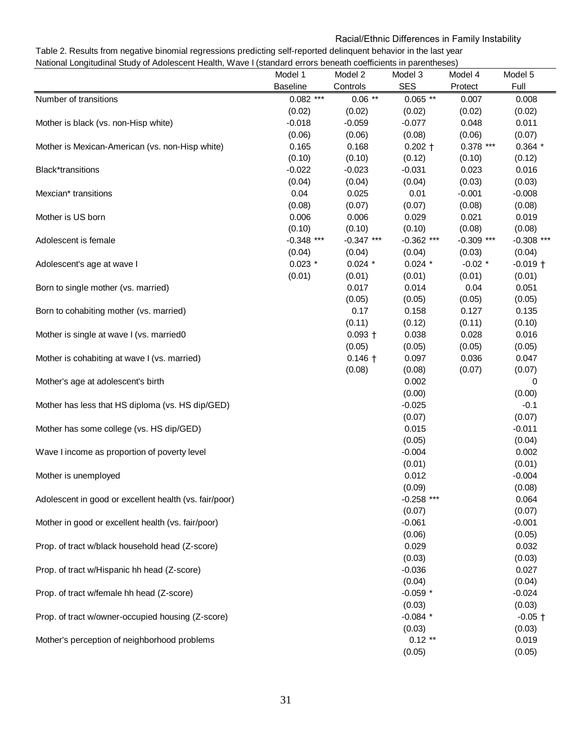# Racial/Ethnic Differences in Family Instability

Table 2. Results from negative binomial regressions predicting self-reported delinquent behavior in the last year National Longitudinal Study of Adolescent Health, Wave I (standard errors beneath coefficients in parentheses)

|                                                        | Model 1         | Model 2      | Model 3      | Model 4      | Model 5      |
|--------------------------------------------------------|-----------------|--------------|--------------|--------------|--------------|
|                                                        | <b>Baseline</b> | Controls     | <b>SES</b>   | Protect      | Full         |
| Number of transitions                                  | $0.082$ ***     | $0.06$ **    | $0.065$ **   | 0.007        | 0.008        |
|                                                        | (0.02)          | (0.02)       | (0.02)       | (0.02)       | (0.02)       |
| Mother is black (vs. non-Hisp white)                   | $-0.018$        | $-0.059$     | $-0.077$     | 0.048        | 0.011        |
|                                                        | (0.06)          | (0.06)       | (0.08)       | (0.06)       | (0.07)       |
| Mother is Mexican-American (vs. non-Hisp white)        | 0.165           | 0.168        | $0.202 +$    | $0.378$ ***  | $0.364*$     |
|                                                        | (0.10)          | (0.10)       | (0.12)       | (0.10)       | (0.12)       |
| <b>Black*transitions</b>                               | $-0.022$        | $-0.023$     | $-0.031$     | 0.023        | 0.016        |
|                                                        | (0.04)          | (0.04)       | (0.04)       | (0.03)       | (0.03)       |
| Mexcian* transitions                                   | 0.04            | 0.025        | 0.01         | $-0.001$     | $-0.008$     |
|                                                        | (0.08)          | (0.07)       | (0.07)       | (0.08)       | (0.08)       |
| Mother is US born                                      | 0.006           | 0.006        | 0.029        | 0.021        | 0.019        |
|                                                        | (0.10)          | (0.10)       | (0.10)       | (0.08)       | (0.08)       |
| Adolescent is female                                   | $-0.348$ ***    | $-0.347$ *** | $-0.362$ *** | $-0.309$ *** | $-0.308$ *** |
|                                                        | (0.04)          | (0.04)       | (0.04)       | (0.03)       | (0.04)       |
| Adolescent's age at wave I                             | $0.023$ *       | $0.024$ *    | $0.024$ *    | $-0.02$ *    | $-0.019$ +   |
|                                                        | (0.01)          | (0.01)       | (0.01)       | (0.01)       | (0.01)       |
| Born to single mother (vs. married)                    |                 | 0.017        | 0.014        | 0.04         | 0.051        |
|                                                        |                 | (0.05)       | (0.05)       | (0.05)       | (0.05)       |
| Born to cohabiting mother (vs. married)                |                 | 0.17         | 0.158        | 0.127        | 0.135        |
|                                                        |                 | (0.11)       | (0.12)       | (0.11)       | (0.10)       |
| Mother is single at wave I (vs. married0               |                 | $0.093 +$    | 0.038        | 0.028        | 0.016        |
|                                                        |                 | (0.05)       | (0.05)       | (0.05)       | (0.05)       |
| Mother is cohabiting at wave I (vs. married)           |                 | $0.146 +$    | 0.097        | 0.036        | 0.047        |
|                                                        |                 | (0.08)       | (0.08)       | (0.07)       | (0.07)       |
| Mother's age at adolescent's birth                     |                 |              | 0.002        |              | 0            |
|                                                        |                 |              | (0.00)       |              | (0.00)       |
| Mother has less that HS diploma (vs. HS dip/GED)       |                 |              | $-0.025$     |              | $-0.1$       |
|                                                        |                 |              | (0.07)       |              | (0.07)       |
| Mother has some college (vs. HS dip/GED)               |                 |              | 0.015        |              | $-0.011$     |
|                                                        |                 |              | (0.05)       |              | (0.04)       |
| Wave I income as proportion of poverty level           |                 |              | $-0.004$     |              | 0.002        |
|                                                        |                 |              | (0.01)       |              | (0.01)       |
| Mother is unemployed                                   |                 |              | 0.012        |              | $-0.004$     |
|                                                        |                 |              | (0.09)       |              | (0.08)       |
| Adolescent in good or excellent health (vs. fair/poor) |                 |              | $-0.258$ *** |              | 0.064        |
|                                                        |                 |              | (0.07)       |              | (0.07)       |
| Mother in good or excellent health (vs. fair/poor)     |                 |              | $-0.061$     |              | $-0.001$     |
|                                                        |                 |              | (0.06)       |              | (0.05)       |
| Prop. of tract w/black household head (Z-score)        |                 |              | 0.029        |              | 0.032        |
|                                                        |                 |              | (0.03)       |              | (0.03)       |
| Prop. of tract w/Hispanic hh head (Z-score)            |                 |              | $-0.036$     |              | 0.027        |
|                                                        |                 |              | (0.04)       |              | (0.04)       |
| Prop. of tract w/female hh head (Z-score)              |                 |              | $-0.059$ *   |              | $-0.024$     |
|                                                        |                 |              | (0.03)       |              | (0.03)       |
| Prop. of tract w/owner-occupied housing (Z-score)      |                 |              | $-0.084$ *   |              | $-0.05$ †    |
|                                                        |                 |              | (0.03)       |              | (0.03)       |
| Mother's perception of neighborhood problems           |                 |              | $0.12**$     |              | 0.019        |
|                                                        |                 |              | (0.05)       |              | (0.05)       |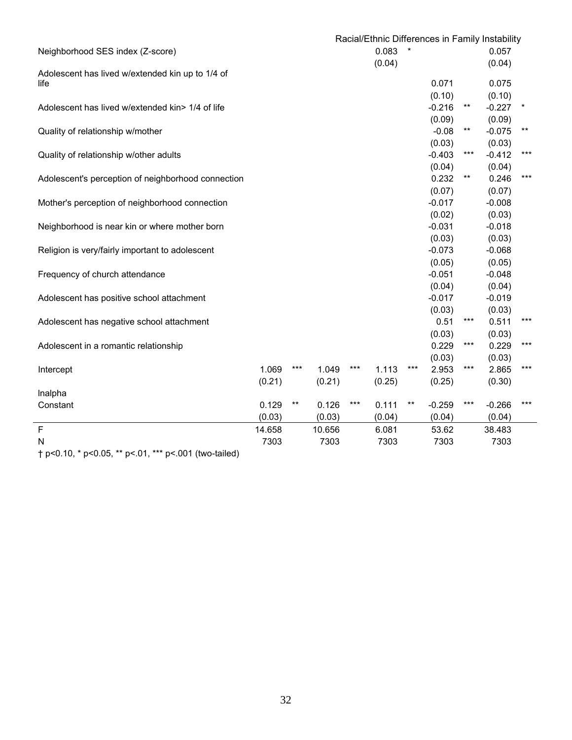|                                                    |        | Racial/Ethnic Differences in Family Instability |        |       |        |       |          |       |          |                 |
|----------------------------------------------------|--------|-------------------------------------------------|--------|-------|--------|-------|----------|-------|----------|-----------------|
| Neighborhood SES index (Z-score)                   |        |                                                 |        |       | 0.083  |       |          |       | 0.057    |                 |
|                                                    |        |                                                 |        |       | (0.04) |       |          |       | (0.04)   |                 |
| Adolescent has lived w/extended kin up to 1/4 of   |        |                                                 |        |       |        |       |          |       |          |                 |
| life                                               |        |                                                 |        |       |        |       | 0.071    |       | 0.075    |                 |
|                                                    |        |                                                 |        |       |        |       | (0.10)   |       | (0.10)   |                 |
| Adolescent has lived w/extended kin> 1/4 of life   |        |                                                 |        |       |        |       | $-0.216$ | $***$ | $-0.227$ | $\ast$          |
|                                                    |        |                                                 |        |       |        |       | (0.09)   |       | (0.09)   |                 |
| Quality of relationship w/mother                   |        |                                                 |        |       |        |       | $-0.08$  | $***$ | $-0.075$ | $^{\star\star}$ |
|                                                    |        |                                                 |        |       |        |       | (0.03)   |       | (0.03)   |                 |
| Quality of relationship w/other adults             |        |                                                 |        |       |        |       | $-0.403$ | $***$ | $-0.412$ | $***$           |
|                                                    |        |                                                 |        |       |        |       | (0.04)   |       | (0.04)   |                 |
| Adolescent's perception of neighborhood connection |        |                                                 |        |       |        |       | 0.232    | $***$ | 0.246    | $***$           |
|                                                    |        |                                                 |        |       |        |       | (0.07)   |       | (0.07)   |                 |
| Mother's perception of neighborhood connection     |        |                                                 |        |       |        |       | $-0.017$ |       | $-0.008$ |                 |
|                                                    |        |                                                 |        |       |        |       | (0.02)   |       | (0.03)   |                 |
| Neighborhood is near kin or where mother born      |        |                                                 |        |       |        |       | $-0.031$ |       | $-0.018$ |                 |
|                                                    |        |                                                 |        |       |        |       | (0.03)   |       | (0.03)   |                 |
| Religion is very/fairly important to adolescent    |        |                                                 |        |       |        |       | $-0.073$ |       | $-0.068$ |                 |
|                                                    |        |                                                 |        |       |        |       | (0.05)   |       | (0.05)   |                 |
| Frequency of church attendance                     |        |                                                 |        |       |        |       | $-0.051$ |       | $-0.048$ |                 |
|                                                    |        |                                                 |        |       |        |       | (0.04)   |       | (0.04)   |                 |
| Adolescent has positive school attachment          |        |                                                 |        |       |        |       | $-0.017$ |       | $-0.019$ |                 |
|                                                    |        |                                                 |        |       |        |       | (0.03)   |       | (0.03)   |                 |
| Adolescent has negative school attachment          |        |                                                 |        |       |        |       | 0.51     | ***   | 0.511    | ***             |
|                                                    |        |                                                 |        |       |        |       | (0.03)   |       | (0.03)   |                 |
| Adolescent in a romantic relationship              |        |                                                 |        |       |        |       | 0.229    | $***$ | 0.229    | ***             |
|                                                    |        |                                                 |        |       |        |       | (0.03)   |       | (0.03)   |                 |
| Intercept                                          | 1.069  | ***                                             | 1.049  | ***   | 1.113  | ***   | 2.953    | ***   | 2.865    | ***             |
|                                                    | (0.21) |                                                 | (0.21) |       | (0.25) |       | (0.25)   |       | (0.30)   |                 |
| Inalpha                                            |        |                                                 |        |       |        |       |          |       |          |                 |
| Constant                                           | 0.129  | $^{\star\star}$                                 | 0.126  | $***$ | 0.111  | $***$ | $-0.259$ | $***$ | $-0.266$ | ***             |
|                                                    | (0.03) |                                                 | (0.03) |       | (0.04) |       | (0.04)   |       | (0.04)   |                 |
| $\mathsf F$                                        | 14.658 |                                                 | 10.656 |       | 6.081  |       | 53.62    |       | 38.483   |                 |
| N                                                  | 7303   |                                                 | 7303   |       | 7303   |       | 7303     |       | 7303     |                 |

† p<0.10, \* p<0.05, \*\* p<.01, \*\*\* p<.001 (two-tailed)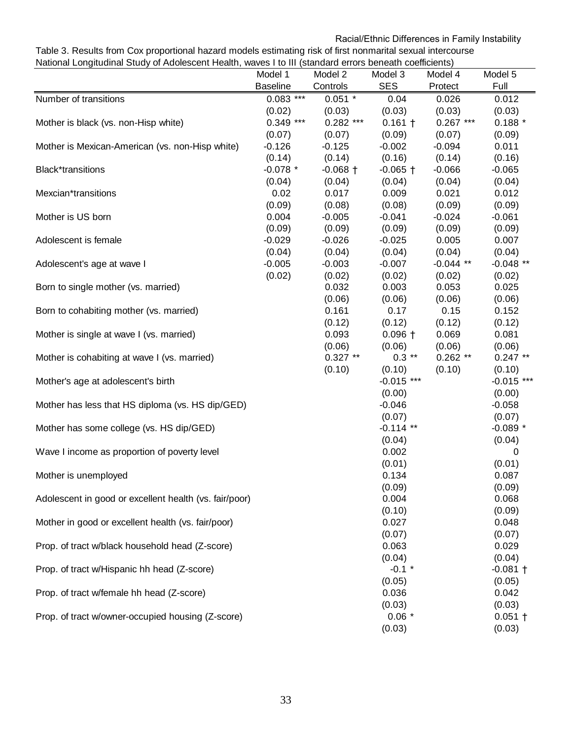# Racial/Ethnic Differences in Family Instability

Table 3. Results from Cox proportional hazard models estimating risk of first nonmarital sexual intercourse National Longitudinal Study of Adolescent Health, waves I to III (standard errors beneath coefficients)

|                                                        | Model 1         | Model 2            | Model 3            | Model 4            | Model 5         |
|--------------------------------------------------------|-----------------|--------------------|--------------------|--------------------|-----------------|
|                                                        | <b>Baseline</b> | Controls           | <b>SES</b>         | Protect            | Full            |
| Number of transitions                                  | $0.083$ ***     | $0.051$ *          | 0.04               | 0.026              | 0.012           |
|                                                        | (0.02)          | (0.03)             | (0.03)             | (0.03)             | (0.03)          |
| Mother is black (vs. non-Hisp white)                   | $0.349$ ***     | $0.282$ ***        | $0.161 +$          | $0.267$ ***        | $0.188*$        |
|                                                        | (0.07)          | (0.07)             | (0.09)             | (0.07)             | (0.09)          |
| Mother is Mexican-American (vs. non-Hisp white)        | $-0.126$        | $-0.125$           | $-0.002$           | $-0.094$           | 0.011           |
|                                                        | (0.14)          | (0.14)             | (0.16)             | (0.14)             | (0.16)          |
| <b>Black*transitions</b>                               | $-0.078$ *      | $-0.068 +$         | $-0.065$ †         | $-0.066$           | $-0.065$        |
|                                                        | (0.04)          | (0.04)             | (0.04)             | (0.04)             | (0.04)          |
| Mexcian*transitions                                    | 0.02            | 0.017              | 0.009              | 0.021              | 0.012           |
|                                                        | (0.09)          | (0.08)             | (0.08)             | (0.09)<br>$-0.024$ | (0.09)          |
| Mother is US born                                      | 0.004<br>(0.09) | $-0.005$<br>(0.09) | $-0.041$<br>(0.09) | (0.09)             | $-0.061$        |
| Adolescent is female                                   | $-0.029$        | $-0.026$           | $-0.025$           | 0.005              | (0.09)<br>0.007 |
|                                                        | (0.04)          | (0.04)             | (0.04)             | (0.04)             | (0.04)          |
| Adolescent's age at wave I                             | $-0.005$        | $-0.003$           | $-0.007$           | $-0.044$ **        | $-0.048$ **     |
|                                                        | (0.02)          | (0.02)             | (0.02)             | (0.02)             | (0.02)          |
| Born to single mother (vs. married)                    |                 | 0.032              | 0.003              | 0.053              | 0.025           |
|                                                        |                 | (0.06)             | (0.06)             | (0.06)             | (0.06)          |
| Born to cohabiting mother (vs. married)                |                 | 0.161              | 0.17               | 0.15               | 0.152           |
|                                                        |                 | (0.12)             | (0.12)             | (0.12)             | (0.12)          |
| Mother is single at wave I (vs. married)               |                 | 0.093              | $0.096 +$          | 0.069              | 0.081           |
|                                                        |                 | (0.06)             | (0.06)             | (0.06)             | (0.06)          |
| Mother is cohabiting at wave I (vs. married)           |                 | $0.327**$          | $0.3$ **           | $0.262$ **         | $0.247**$       |
|                                                        |                 | (0.10)             | (0.10)             | (0.10)             | (0.10)          |
| Mother's age at adolescent's birth                     |                 |                    | $-0.015$ ***       |                    | $-0.015$ ***    |
|                                                        |                 |                    | (0.00)             |                    | (0.00)          |
| Mother has less that HS diploma (vs. HS dip/GED)       |                 |                    | $-0.046$           |                    | $-0.058$        |
|                                                        |                 |                    | (0.07)             |                    | (0.07)          |
| Mother has some college (vs. HS dip/GED)               |                 |                    | $-0.114$ **        |                    | $-0.089*$       |
|                                                        |                 |                    | (0.04)             |                    | (0.04)          |
| Wave I income as proportion of poverty level           |                 |                    | 0.002              |                    | 0               |
|                                                        |                 |                    | (0.01)             |                    | (0.01)          |
| Mother is unemployed                                   |                 |                    | 0.134              |                    | 0.087           |
|                                                        |                 |                    | (0.09)             |                    | (0.09)          |
| Adolescent in good or excellent health (vs. fair/poor) |                 |                    | 0.004              |                    | 0.068           |
|                                                        |                 |                    | (0.10)             |                    | (0.09)          |
| Mother in good or excellent health (vs. fair/poor)     |                 |                    | 0.027              |                    | 0.048           |
|                                                        |                 |                    | (0.07)             |                    | (0.07)          |
| Prop. of tract w/black household head (Z-score)        |                 |                    | 0.063              |                    | 0.029           |
|                                                        |                 |                    | (0.04)             |                    | (0.04)          |
| Prop. of tract w/Hispanic hh head (Z-score)            |                 |                    | $-0.1$ *           |                    | $-0.081$ +      |
|                                                        |                 |                    | (0.05)             |                    | (0.05)          |
| Prop. of tract w/female hh head (Z-score)              |                 |                    | 0.036<br>(0.03)    |                    | 0.042<br>(0.03) |
| Prop. of tract w/owner-occupied housing (Z-score)      |                 |                    | $0.06*$            |                    | $0.051 +$       |
|                                                        |                 |                    | (0.03)             |                    | (0.03)          |
|                                                        |                 |                    |                    |                    |                 |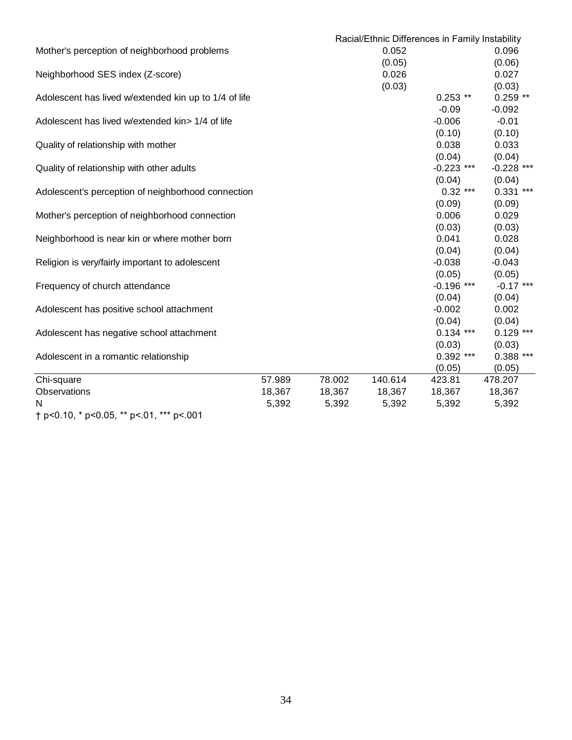|                                                       |        |        | Racial/Ethnic Differences in Family Instability |              |              |
|-------------------------------------------------------|--------|--------|-------------------------------------------------|--------------|--------------|
| Mother's perception of neighborhood problems          |        |        | 0.052                                           |              | 0.096        |
|                                                       |        |        | (0.05)                                          |              | (0.06)       |
| Neighborhood SES index (Z-score)                      |        |        | 0.026                                           |              | 0.027        |
|                                                       |        |        | (0.03)                                          |              | (0.03)       |
| Adolescent has lived w/extended kin up to 1/4 of life |        |        |                                                 | $0.253$ **   | $0.259**$    |
|                                                       |        |        |                                                 | $-0.09$      | $-0.092$     |
| Adolescent has lived w/extended kin> 1/4 of life      |        |        |                                                 | $-0.006$     | $-0.01$      |
|                                                       |        |        |                                                 | (0.10)       | (0.10)       |
| Quality of relationship with mother                   |        |        |                                                 | 0.038        | 0.033        |
|                                                       |        |        |                                                 | (0.04)       | (0.04)       |
| Quality of relationship with other adults             |        |        |                                                 | $-0.223$ *** | $-0.228$ *** |
|                                                       |        |        |                                                 | (0.04)       | (0.04)       |
| Adolescent's perception of neighborhood connection    |        |        |                                                 | $0.32***$    | $0.331$ ***  |
|                                                       |        |        |                                                 | (0.09)       | (0.09)       |
| Mother's perception of neighborhood connection        |        |        |                                                 | 0.006        | 0.029        |
|                                                       |        |        |                                                 | (0.03)       | (0.03)       |
| Neighborhood is near kin or where mother born         |        |        |                                                 | 0.041        | 0.028        |
|                                                       |        |        |                                                 | (0.04)       | (0.04)       |
| Religion is very/fairly important to adolescent       |        |        |                                                 | $-0.038$     | $-0.043$     |
|                                                       |        |        |                                                 | (0.05)       | (0.05)       |
| Frequency of church attendance                        |        |        |                                                 | $-0.196$ *** | $-0.17$ ***  |
|                                                       |        |        |                                                 | (0.04)       | (0.04)       |
| Adolescent has positive school attachment             |        |        |                                                 | $-0.002$     | 0.002        |
|                                                       |        |        |                                                 | (0.04)       | (0.04)       |
| Adolescent has negative school attachment             |        |        |                                                 | $0.134$ ***  | $0.129$ ***  |
|                                                       |        |        |                                                 | (0.03)       | (0.03)       |
| Adolescent in a romantic relationship                 |        |        |                                                 | $0.392$ ***  | $0.388$ ***  |
|                                                       |        |        |                                                 | (0.05)       | (0.05)       |
| Chi-square                                            | 57.989 | 78.002 | 140.614                                         | 423.81       | 478.207      |
| Observations                                          | 18,367 | 18,367 | 18,367                                          | 18,367       | 18,367       |
| N                                                     | 5,392  | 5,392  | 5,392                                           | 5,392        | 5,392        |
| t p<0.10, * p<0.05, ** p<.01, *** p<.001              |        |        |                                                 |              |              |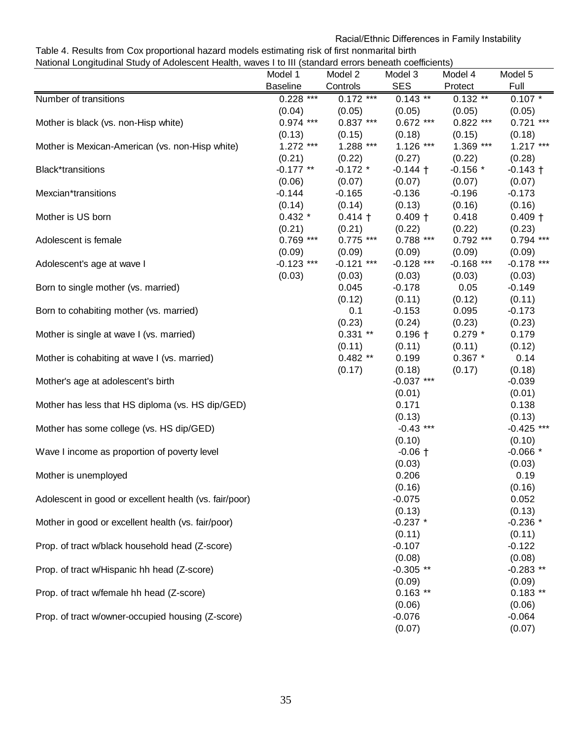# Racial/Ethnic Differences in Family Instability

#### Table 4. Results from Cox proportional hazard models estimating risk of first nonmarital birth National Longitudinal Study of Adolescent Health, waves I to III (standard errors beneath coefficients)

|                                                        | Model 1         | Model 2             | Model 3                | Model 4             | Model 5            |
|--------------------------------------------------------|-----------------|---------------------|------------------------|---------------------|--------------------|
|                                                        | <b>Baseline</b> | Controls            | <b>SES</b>             | Protect             | Full               |
| Number of transitions                                  | $0.228$ ***     | $0.172$ ***         | $0.143$ **             | $0.132**$           | $0.107 *$          |
|                                                        | (0.04)          | (0.05)              | (0.05)                 | (0.05)              | (0.05)             |
| Mother is black (vs. non-Hisp white)                   | $0.974$ ***     | $0.837***$          | $0.672$ ***            | $0.822$ ***         | $0.721$ ***        |
|                                                        | (0.13)          | (0.15)              | (0.18)                 | (0.15)              | (0.18)             |
| Mother is Mexican-American (vs. non-Hisp white)        | $1.272$ ***     | 1.288 ***           | $1.126$ ***            | $1.369***$          | $1.217***$         |
|                                                        | (0.21)          | (0.22)              | (0.27)                 | (0.22)              | (0.28)             |
| Black*transitions                                      | $-0.177**$      | $-0.172$ *          | $-0.144 +$             | $-0.156$ *          | $-0.143 +$         |
|                                                        | (0.06)          | (0.07)              | (0.07)                 | (0.07)              | (0.07)             |
| Mexcian*transitions                                    | $-0.144$        | $-0.165$            | $-0.136$               | $-0.196$            | $-0.173$           |
|                                                        | (0.14)          | (0.14)              | (0.13)                 | (0.16)              | (0.16)             |
| Mother is US born                                      | $0.432 *$       | $0.414 +$           | $0.409 +$              | 0.418               | $0.409 +$          |
|                                                        | (0.21)          | (0.21)              | (0.22)                 | (0.22)              | (0.23)             |
| Adolescent is female                                   | $0.769$ ***     | $0.775$ ***         | $0.788$ ***            | $0.792$ ***         | $0.794$ ***        |
|                                                        | (0.09)          | (0.09)              | (0.09)                 | (0.09)              | (0.09)             |
| Adolescent's age at wave I                             | $-0.123$ ***    | $-0.121$ ***        | $-0.128$ ***           | $-0.168$ ***        | $-0.178$ ***       |
|                                                        | (0.03)          | (0.03)              | (0.03)                 | (0.03)              | (0.03)             |
| Born to single mother (vs. married)                    |                 | 0.045               | $-0.178$               | 0.05                | $-0.149$           |
|                                                        |                 | (0.12)              | (0.11)                 | (0.12)              | (0.11)             |
| Born to cohabiting mother (vs. married)                |                 | 0.1                 | $-0.153$               | 0.095               | $-0.173$           |
|                                                        |                 | (0.23)              | (0.24)                 | (0.23)              | (0.23)             |
| Mother is single at wave I (vs. married)               |                 | $0.331**$           | $0.196 +$              | $0.279*$            | 0.179              |
|                                                        |                 | (0.11)<br>$0.482**$ | (0.11)<br>0.199        | (0.11)<br>$0.367$ * | (0.12)<br>0.14     |
| Mother is cohabiting at wave I (vs. married)           |                 |                     |                        |                     |                    |
| Mother's age at adolescent's birth                     |                 | (0.17)              | (0.18)<br>$-0.037$ *** | (0.17)              | (0.18)<br>$-0.039$ |
|                                                        |                 |                     | (0.01)                 |                     | (0.01)             |
| Mother has less that HS diploma (vs. HS dip/GED)       |                 |                     | 0.171                  |                     | 0.138              |
|                                                        |                 |                     | (0.13)                 |                     | (0.13)             |
| Mother has some college (vs. HS dip/GED)               |                 |                     | $-0.43$ ***            |                     | $-0.425$ ***       |
|                                                        |                 |                     | (0.10)                 |                     | (0.10)             |
| Wave I income as proportion of poverty level           |                 |                     | $-0.06 +$              |                     | $-0.066*$          |
|                                                        |                 |                     | (0.03)                 |                     | (0.03)             |
| Mother is unemployed                                   |                 |                     | 0.206                  |                     | 0.19               |
|                                                        |                 |                     | (0.16)                 |                     | (0.16)             |
| Adolescent in good or excellent health (vs. fair/poor) |                 |                     | $-0.075$               |                     | 0.052              |
|                                                        |                 |                     | (0.13)                 |                     | (0.13)             |
| Mother in good or excellent health (vs. fair/poor)     |                 |                     | $-0.237$ *             |                     | $-0.236$ *         |
|                                                        |                 |                     | (0.11)                 |                     | (0.11)             |
| Prop. of tract w/black household head (Z-score)        |                 |                     | $-0.107$               |                     | $-0.122$           |
|                                                        |                 |                     | (0.08)                 |                     | (0.08)             |
| Prop. of tract w/Hispanic hh head (Z-score)            |                 |                     | $-0.305$ **            |                     | $-0.283$ **        |
|                                                        |                 |                     | (0.09)                 |                     | (0.09)             |
| Prop. of tract w/female hh head (Z-score)              |                 |                     | $0.163$ **             |                     | $0.183**$          |
|                                                        |                 |                     | (0.06)                 |                     | (0.06)             |
| Prop. of tract w/owner-occupied housing (Z-score)      |                 |                     | $-0.076$               |                     | $-0.064$           |
|                                                        |                 |                     | (0.07)                 |                     | (0.07)             |